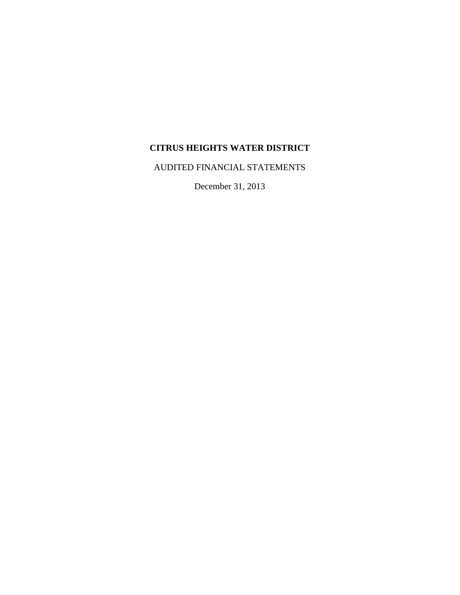AUDITED FINANCIAL STATEMENTS

December 31, 2013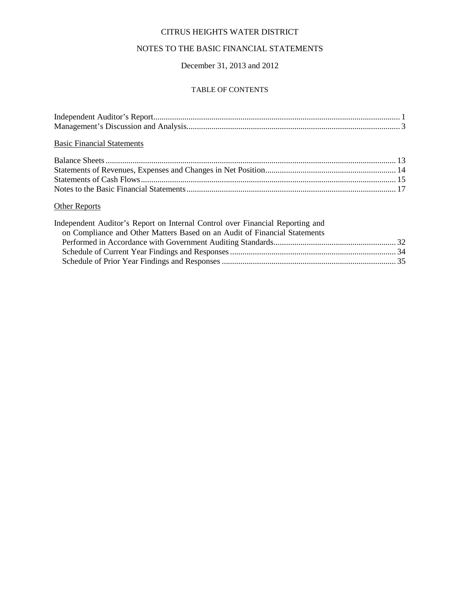#### NOTES TO THE BASIC FINANCIAL STATEMENTS

### December 31, 2013 and 2012

#### TABLE OF CONTENTS

| <b>Basic Financial Statements</b>                                             |  |
|-------------------------------------------------------------------------------|--|
|                                                                               |  |
|                                                                               |  |
|                                                                               |  |
|                                                                               |  |
| <b>Other Reports</b>                                                          |  |
| Independent Auditor's Report on Internal Control over Financial Reporting and |  |

| on Compliance and Other Matters Based on an Audit of Financial Statements |  |
|---------------------------------------------------------------------------|--|
|                                                                           |  |
|                                                                           |  |
|                                                                           |  |
|                                                                           |  |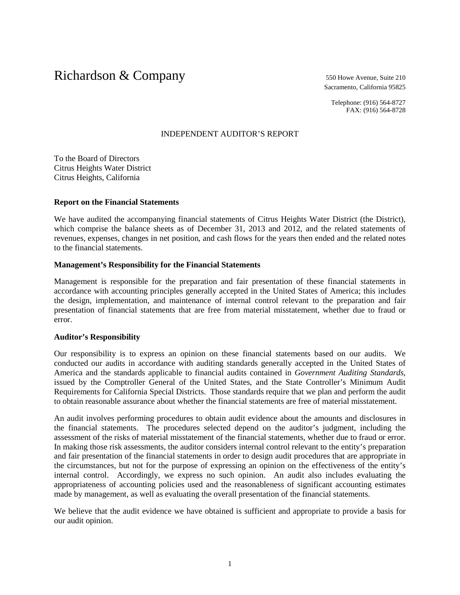# Richardson & Company 550 Howe Avenue, Suite 210

Sacramento, California 95825

Telephone: (916) 564-8727 FAX: (916) 564-8728

#### INDEPENDENT AUDITOR'S REPORT

To the Board of Directors Citrus Heights Water District Citrus Heights, California

#### **Report on the Financial Statements**

We have audited the accompanying financial statements of Citrus Heights Water District (the District), which comprise the balance sheets as of December 31, 2013 and 2012, and the related statements of revenues, expenses, changes in net position, and cash flows for the years then ended and the related notes to the financial statements.

#### **Management's Responsibility for the Financial Statements**

Management is responsible for the preparation and fair presentation of these financial statements in accordance with accounting principles generally accepted in the United States of America; this includes the design, implementation, and maintenance of internal control relevant to the preparation and fair presentation of financial statements that are free from material misstatement, whether due to fraud or error.

#### **Auditor's Responsibility**

Our responsibility is to express an opinion on these financial statements based on our audits. We conducted our audits in accordance with auditing standards generally accepted in the United States of America and the standards applicable to financial audits contained in *Government Auditing Standards*, issued by the Comptroller General of the United States, and the State Controller's Minimum Audit Requirements for California Special Districts. Those standards require that we plan and perform the audit to obtain reasonable assurance about whether the financial statements are free of material misstatement.

An audit involves performing procedures to obtain audit evidence about the amounts and disclosures in the financial statements. The procedures selected depend on the auditor's judgment, including the assessment of the risks of material misstatement of the financial statements, whether due to fraud or error. In making those risk assessments, the auditor considers internal control relevant to the entity's preparation and fair presentation of the financial statements in order to design audit procedures that are appropriate in the circumstances, but not for the purpose of expressing an opinion on the effectiveness of the entity's internal control. Accordingly, we express no such opinion. An audit also includes evaluating the appropriateness of accounting policies used and the reasonableness of significant accounting estimates made by management, as well as evaluating the overall presentation of the financial statements.

We believe that the audit evidence we have obtained is sufficient and appropriate to provide a basis for our audit opinion.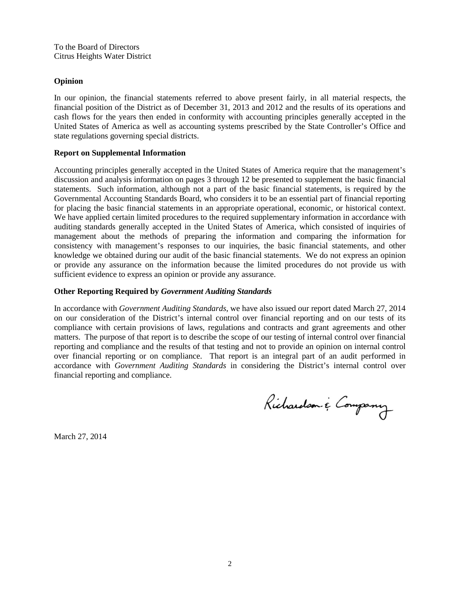#### **Opinion**

In our opinion, the financial statements referred to above present fairly, in all material respects, the financial position of the District as of December 31, 2013 and 2012 and the results of its operations and cash flows for the years then ended in conformity with accounting principles generally accepted in the United States of America as well as accounting systems prescribed by the State Controller's Office and state regulations governing special districts.

#### **Report on Supplemental Information**

Accounting principles generally accepted in the United States of America require that the management's discussion and analysis information on pages 3 through 12 be presented to supplement the basic financial statements. Such information, although not a part of the basic financial statements, is required by the Governmental Accounting Standards Board, who considers it to be an essential part of financial reporting for placing the basic financial statements in an appropriate operational, economic, or historical context. We have applied certain limited procedures to the required supplementary information in accordance with auditing standards generally accepted in the United States of America, which consisted of inquiries of management about the methods of preparing the information and comparing the information for consistency with management's responses to our inquiries, the basic financial statements, and other knowledge we obtained during our audit of the basic financial statements. We do not express an opinion or provide any assurance on the information because the limited procedures do not provide us with sufficient evidence to express an opinion or provide any assurance.

#### **Other Reporting Required by** *Government Auditing Standards*

In accordance with *Government Auditing Standards*, we have also issued our report dated March 27, 2014 on our consideration of the District's internal control over financial reporting and on our tests of its compliance with certain provisions of laws, regulations and contracts and grant agreements and other matters. The purpose of that report is to describe the scope of our testing of internal control over financial reporting and compliance and the results of that testing and not to provide an opinion on internal control over financial reporting or on compliance. That report is an integral part of an audit performed in accordance with *Government Auditing Standards* in considering the District's internal control over financial reporting and compliance.

Richardson & Company

March 27, 2014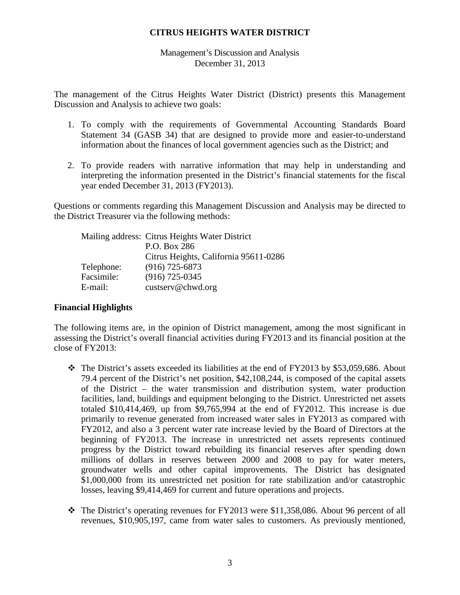### Management's Discussion and Analysis December 31, 2013

The management of the Citrus Heights Water District (District) presents this Management Discussion and Analysis to achieve two goals:

- 1. To comply with the requirements of Governmental Accounting Standards Board Statement 34 (GASB 34) that are designed to provide more and easier-to-understand information about the finances of local government agencies such as the District; and
- 2. To provide readers with narrative information that may help in understanding and interpreting the information presented in the District's financial statements for the fiscal year ended December 31, 2013 (FY2013).

Questions or comments regarding this Management Discussion and Analysis may be directed to the District Treasurer via the following methods:

|            | Mailing address: Citrus Heights Water District |
|------------|------------------------------------------------|
|            | P.O. Box 286                                   |
|            | Citrus Heights, California 95611-0286          |
| Telephone: | $(916)$ 725-6873                               |
| Facsimile: | $(916)$ 725-0345                               |
| E-mail:    | custserv@chwd.org                              |

### **Financial Highlights**

The following items are, in the opinion of District management, among the most significant in assessing the District's overall financial activities during FY2013 and its financial position at the close of FY2013:

- $\div$  The District's assets exceeded its liabilities at the end of FY2013 by \$53,059,686. About 79.4 percent of the District's net position, \$42,108,244, is composed of the capital assets of the District – the water transmission and distribution system, water production facilities, land, buildings and equipment belonging to the District. Unrestricted net assets totaled \$10,414,469, up from \$9,765,994 at the end of FY2012. This increase is due primarily to revenue generated from increased water sales in FY2013 as compared with FY2012, and also a 3 percent water rate increase levied by the Board of Directors at the beginning of FY2013. The increase in unrestricted net assets represents continued progress by the District toward rebuilding its financial reserves after spending down millions of dollars in reserves between 2000 and 2008 to pay for water meters, groundwater wells and other capital improvements. The District has designated \$1,000,000 from its unrestricted net position for rate stabilization and/or catastrophic losses, leaving \$9,414,469 for current and future operations and projects.
- $\div$  The District's operating revenues for FY2013 were \$11,358,086. About 96 percent of all revenues, \$10,905,197, came from water sales to customers. As previously mentioned,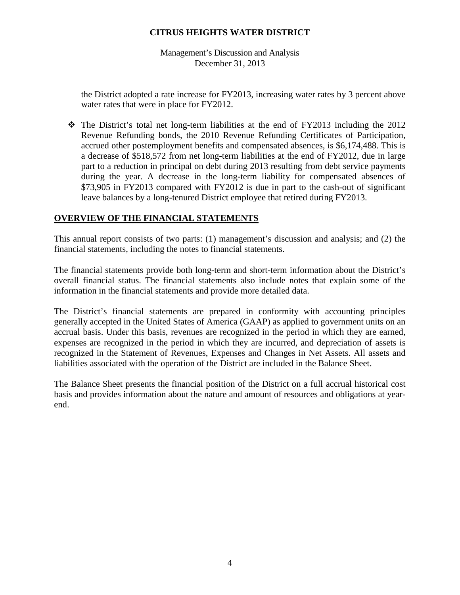Management's Discussion and Analysis December 31, 2013

the District adopted a rate increase for FY2013, increasing water rates by 3 percent above water rates that were in place for FY2012.

 $\div$  The District's total net long-term liabilities at the end of FY2013 including the 2012 Revenue Refunding bonds, the 2010 Revenue Refunding Certificates of Participation, accrued other postemployment benefits and compensated absences, is \$6,174,488. This is a decrease of \$518,572 from net long-term liabilities at the end of FY2012, due in large part to a reduction in principal on debt during 2013 resulting from debt service payments during the year. A decrease in the long-term liability for compensated absences of \$73,905 in FY2013 compared with FY2012 is due in part to the cash-out of significant leave balances by a long-tenured District employee that retired during FY2013.

## **OVERVIEW OF THE FINANCIAL STATEMENTS**

This annual report consists of two parts: (1) management's discussion and analysis; and (2) the financial statements, including the notes to financial statements.

The financial statements provide both long-term and short-term information about the District's overall financial status. The financial statements also include notes that explain some of the information in the financial statements and provide more detailed data.

The District's financial statements are prepared in conformity with accounting principles generally accepted in the United States of America (GAAP) as applied to government units on an accrual basis. Under this basis, revenues are recognized in the period in which they are earned, expenses are recognized in the period in which they are incurred, and depreciation of assets is recognized in the Statement of Revenues, Expenses and Changes in Net Assets. All assets and liabilities associated with the operation of the District are included in the Balance Sheet.

The Balance Sheet presents the financial position of the District on a full accrual historical cost basis and provides information about the nature and amount of resources and obligations at yearend.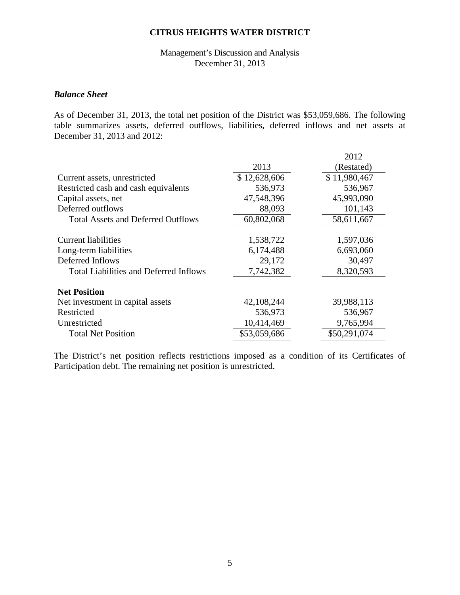### Management's Discussion and Analysis December 31, 2013

#### *Balance Sheet*

As of December 31, 2013, the total net position of the District was \$53,059,686. The following table summarizes assets, deferred outflows, liabilities, deferred inflows and net assets at December 31, 2013 and 2012:

|                                               |              | 2012         |
|-----------------------------------------------|--------------|--------------|
|                                               | 2013         | (Restated)   |
| Current assets, unrestricted                  | \$12,628,606 | \$11,980,467 |
| Restricted cash and cash equivalents          | 536,973      | 536,967      |
| Capital assets, net                           | 47,548,396   | 45,993,090   |
| Deferred outflows                             | 88,093       | 101,143      |
| <b>Total Assets and Deferred Outflows</b>     | 60,802,068   | 58,611,667   |
|                                               |              |              |
| Current liabilities                           | 1,538,722    | 1,597,036    |
| Long-term liabilities                         | 6,174,488    | 6,693,060    |
| Deferred Inflows                              | 29,172       | 30,497       |
| <b>Total Liabilities and Deferred Inflows</b> | 7,742,382    | 8,320,593    |
| <b>Net Position</b>                           |              |              |
| Net investment in capital assets              | 42,108,244   | 39,988,113   |
| Restricted                                    | 536,973      | 536,967      |
| Unrestricted                                  | 10,414,469   | 9,765,994    |
| <b>Total Net Position</b>                     | \$53,059,686 | \$50,291,074 |

The District's net position reflects restrictions imposed as a condition of its Certificates of Participation debt. The remaining net position is unrestricted.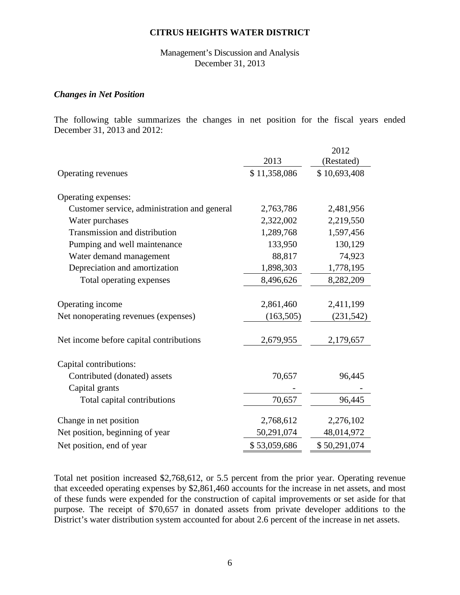Management's Discussion and Analysis December 31, 2013

#### *Changes in Net Position*

The following table summarizes the changes in net position for the fiscal years ended December 31, 2013 and 2012:

|                                              |              | 2012         |
|----------------------------------------------|--------------|--------------|
|                                              | 2013         | (Restated)   |
| Operating revenues                           | \$11,358,086 | \$10,693,408 |
| Operating expenses:                          |              |              |
| Customer service, administration and general | 2,763,786    | 2,481,956    |
| Water purchases                              | 2,322,002    | 2,219,550    |
| Transmission and distribution                | 1,289,768    | 1,597,456    |
| Pumping and well maintenance                 | 133,950      | 130,129      |
| Water demand management                      | 88,817       | 74,923       |
| Depreciation and amortization                | 1,898,303    | 1,778,195    |
| Total operating expenses                     | 8,496,626    | 8,282,209    |
|                                              |              |              |
| Operating income                             | 2,861,460    | 2,411,199    |
| Net nonoperating revenues (expenses)         | (163,505)    | (231, 542)   |
|                                              |              |              |
| Net income before capital contributions      | 2,679,955    | 2,179,657    |
| Capital contributions:                       |              |              |
| Contributed (donated) assets                 | 70,657       | 96,445       |
| Capital grants                               |              |              |
| Total capital contributions                  | 70,657       | 96,445       |
| Change in net position                       | 2,768,612    | 2,276,102    |
| Net position, beginning of year              | 50,291,074   | 48,014,972   |
| Net position, end of year                    | \$53,059,686 | \$50,291,074 |

Total net position increased \$2,768,612, or 5.5 percent from the prior year. Operating revenue that exceeded operating expenses by \$2,861,460 accounts for the increase in net assets, and most of these funds were expended for the construction of capital improvements or set aside for that purpose. The receipt of \$70,657 in donated assets from private developer additions to the District's water distribution system accounted for about 2.6 percent of the increase in net assets.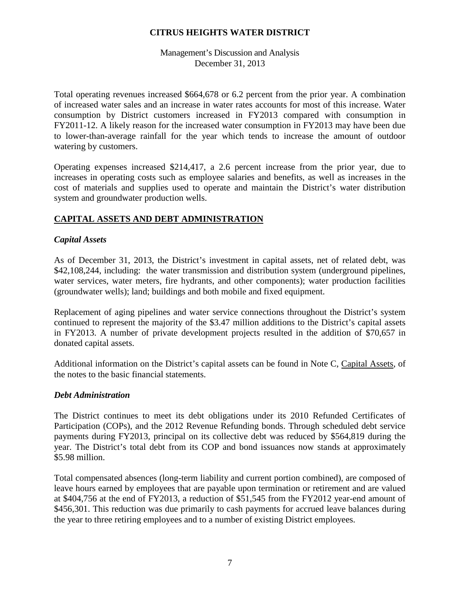Management's Discussion and Analysis December 31, 2013

Total operating revenues increased \$664,678 or 6.2 percent from the prior year. A combination of increased water sales and an increase in water rates accounts for most of this increase. Water consumption by District customers increased in FY2013 compared with consumption in FY2011-12. A likely reason for the increased water consumption in FY2013 may have been due to lower-than-average rainfall for the year which tends to increase the amount of outdoor watering by customers.

Operating expenses increased \$214,417, a 2.6 percent increase from the prior year, due to increases in operating costs such as employee salaries and benefits, as well as increases in the cost of materials and supplies used to operate and maintain the District's water distribution system and groundwater production wells.

## **CAPITAL ASSETS AND DEBT ADMINISTRATION**

### *Capital Assets*

As of December 31, 2013, the District's investment in capital assets, net of related debt, was \$42,108,244, including: the water transmission and distribution system (underground pipelines, water services, water meters, fire hydrants, and other components); water production facilities (groundwater wells); land; buildings and both mobile and fixed equipment.

Replacement of aging pipelines and water service connections throughout the District's system continued to represent the majority of the \$3.47 million additions to the District's capital assets in FY2013. A number of private development projects resulted in the addition of \$70,657 in donated capital assets.

Additional information on the District's capital assets can be found in Note C, Capital Assets, of the notes to the basic financial statements.

### *Debt Administration*

The District continues to meet its debt obligations under its 2010 Refunded Certificates of Participation (COPs), and the 2012 Revenue Refunding bonds. Through scheduled debt service payments during FY2013, principal on its collective debt was reduced by \$564,819 during the year. The District's total debt from its COP and bond issuances now stands at approximately \$5.98 million.

Total compensated absences (long-term liability and current portion combined), are composed of leave hours earned by employees that are payable upon termination or retirement and are valued at \$404,756 at the end of FY2013, a reduction of \$51,545 from the FY2012 year-end amount of \$456,301. This reduction was due primarily to cash payments for accrued leave balances during the year to three retiring employees and to a number of existing District employees.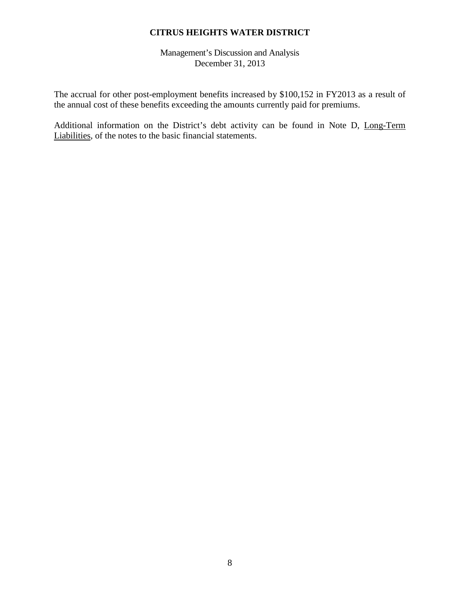Management's Discussion and Analysis December 31, 2013

The accrual for other post-employment benefits increased by \$100,152 in FY2013 as a result of the annual cost of these benefits exceeding the amounts currently paid for premiums.

Additional information on the District's debt activity can be found in Note D, Long-Term Liabilities, of the notes to the basic financial statements.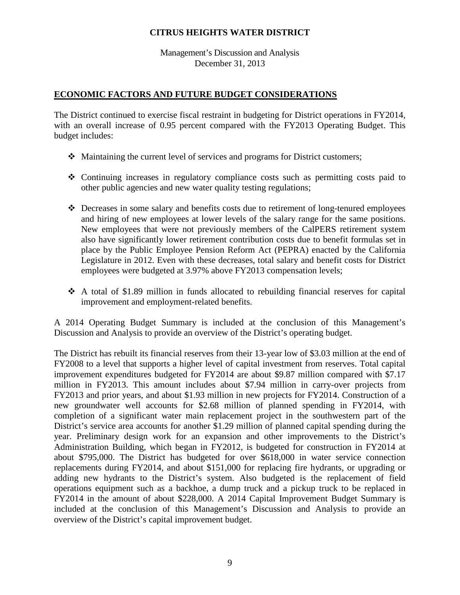Management's Discussion and Analysis December 31, 2013

### **ECONOMIC FACTORS AND FUTURE BUDGET CONSIDERATIONS**

The District continued to exercise fiscal restraint in budgeting for District operations in FY2014, with an overall increase of 0.95 percent compared with the FY2013 Operating Budget. This budget includes:

- Maintaining the current level of services and programs for District customers;
- Continuing increases in regulatory compliance costs such as permitting costs paid to other public agencies and new water quality testing regulations;
- Decreases in some salary and benefits costs due to retirement of long-tenured employees and hiring of new employees at lower levels of the salary range for the same positions. New employees that were not previously members of the CalPERS retirement system also have significantly lower retirement contribution costs due to benefit formulas set in place by the Public Employee Pension Reform Act (PEPRA) enacted by the California Legislature in 2012. Even with these decreases, total salary and benefit costs for District employees were budgeted at 3.97% above FY2013 compensation levels;
- $\div$  A total of \$1.89 million in funds allocated to rebuilding financial reserves for capital improvement and employment-related benefits.

A 2014 Operating Budget Summary is included at the conclusion of this Management's Discussion and Analysis to provide an overview of the District's operating budget.

The District has rebuilt its financial reserves from their 13-year low of \$3.03 million at the end of FY2008 to a level that supports a higher level of capital investment from reserves. Total capital improvement expenditures budgeted for FY2014 are about \$9.87 million compared with \$7.17 million in FY2013. This amount includes about \$7.94 million in carry-over projects from FY2013 and prior years, and about \$1.93 million in new projects for FY2014. Construction of a new groundwater well accounts for \$2.68 million of planned spending in FY2014, with completion of a significant water main replacement project in the southwestern part of the District's service area accounts for another \$1.29 million of planned capital spending during the year. Preliminary design work for an expansion and other improvements to the District's Administration Building, which began in FY2012, is budgeted for construction in FY2014 at about \$795,000. The District has budgeted for over \$618,000 in water service connection replacements during FY2014, and about \$151,000 for replacing fire hydrants, or upgrading or adding new hydrants to the District's system. Also budgeted is the replacement of field operations equipment such as a backhoe, a dump truck and a pickup truck to be replaced in FY2014 in the amount of about \$228,000. A 2014 Capital Improvement Budget Summary is included at the conclusion of this Management's Discussion and Analysis to provide an overview of the District's capital improvement budget.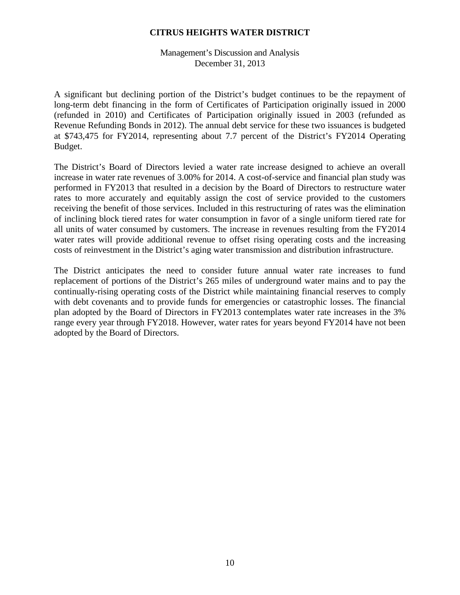Management's Discussion and Analysis December 31, 2013

A significant but declining portion of the District's budget continues to be the repayment of long-term debt financing in the form of Certificates of Participation originally issued in 2000 (refunded in 2010) and Certificates of Participation originally issued in 2003 (refunded as Revenue Refunding Bonds in 2012). The annual debt service for these two issuances is budgeted at \$743,475 for FY2014, representing about 7.7 percent of the District's FY2014 Operating Budget.

The District's Board of Directors levied a water rate increase designed to achieve an overall increase in water rate revenues of 3.00% for 2014. A cost-of-service and financial plan study was performed in FY2013 that resulted in a decision by the Board of Directors to restructure water rates to more accurately and equitably assign the cost of service provided to the customers receiving the benefit of those services. Included in this restructuring of rates was the elimination of inclining block tiered rates for water consumption in favor of a single uniform tiered rate for all units of water consumed by customers. The increase in revenues resulting from the FY2014 water rates will provide additional revenue to offset rising operating costs and the increasing costs of reinvestment in the District's aging water transmission and distribution infrastructure.

The District anticipates the need to consider future annual water rate increases to fund replacement of portions of the District's 265 miles of underground water mains and to pay the continually-rising operating costs of the District while maintaining financial reserves to comply with debt covenants and to provide funds for emergencies or catastrophic losses. The financial plan adopted by the Board of Directors in FY2013 contemplates water rate increases in the 3% range every year through FY2018. However, water rates for years beyond FY2014 have not been adopted by the Board of Directors.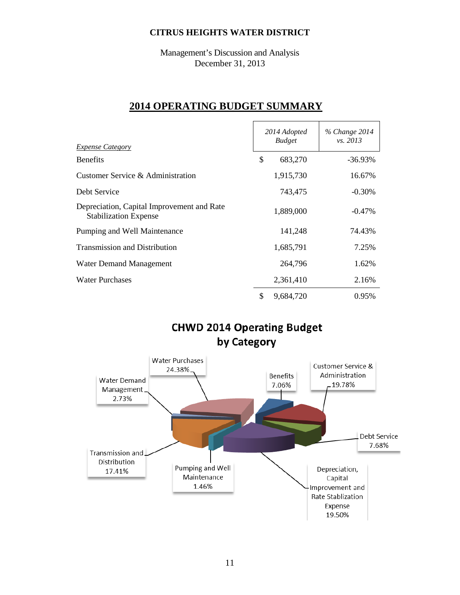Management's Discussion and Analysis December 31, 2013

## **2014 OPERATING BUDGET SUMMARY**

| <i><b>Expense Category</b></i>                                             | 2014 Adopted<br><b>Budget</b> | % Change 2014<br>$\nu s. 2013$ |
|----------------------------------------------------------------------------|-------------------------------|--------------------------------|
| <b>Benefits</b>                                                            | \$<br>683,270                 | $-36.93%$                      |
| Customer Service & Administration                                          | 1,915,730                     | 16.67%                         |
| Debt Service                                                               | 743,475                       | $-0.30%$                       |
| Depreciation, Capital Improvement and Rate<br><b>Stabilization Expense</b> | 1,889,000                     | $-0.47\%$                      |
| Pumping and Well Maintenance                                               | 141,248                       | 74.43%                         |
| <b>Transmission and Distribution</b>                                       | 1,685,791                     | 7.25%                          |
| Water Demand Management                                                    | 264,796                       | 1.62%                          |
| <b>Water Purchases</b>                                                     | 2,361,410                     | 2.16%                          |
|                                                                            | \$<br>9,684,720               | 0.95%                          |

**CHWD 2014 Operating Budget** by Category

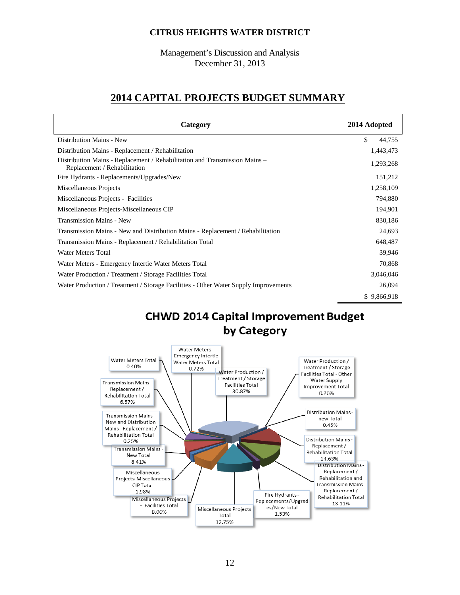Management's Discussion and Analysis December 31, 2013

# **2014 CAPITAL PROJECTS BUDGET SUMMARY**

| Category                                                                                                   | 2014 Adopted |
|------------------------------------------------------------------------------------------------------------|--------------|
| Distribution Mains - New                                                                                   | \$<br>44,755 |
| Distribution Mains - Replacement / Rehabilitation                                                          | 1,443,473    |
| Distribution Mains - Replacement / Rehabilitation and Transmission Mains –<br>Replacement / Rehabilitation | 1,293,268    |
| Fire Hydrants - Replacements/Upgrades/New                                                                  | 151,212      |
| Miscellaneous Projects                                                                                     | 1,258,109    |
| Miscellaneous Projects - Facilities                                                                        | 794,880      |
| Miscellaneous Projects-Miscellaneous CIP                                                                   | 194,901      |
| <b>Transmission Mains - New</b>                                                                            | 830,186      |
| Transmission Mains - New and Distribution Mains - Replacement / Rehabilitation                             | 24,693       |
| Transmission Mains - Replacement / Rehabilitation Total                                                    | 648,487      |
| <b>Water Meters Total</b>                                                                                  | 39,946       |
| Water Meters - Emergency Intertie Water Meters Total                                                       | 70,868       |
| Water Production / Treatment / Storage Facilities Total                                                    | 3,046,046    |
| Water Production / Treatment / Storage Facilities - Other Water Supply Improvements                        | 26,094       |
|                                                                                                            | \$9,866,918  |

# **CHWD 2014 Capital Improvement Budget** by Category

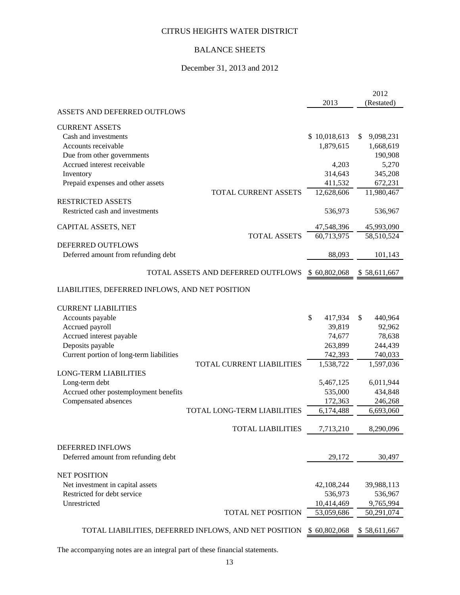### BALANCE SHEETS

## December 31, 2013 and 2012

|                                                 |                                                       |               | 2012           |
|-------------------------------------------------|-------------------------------------------------------|---------------|----------------|
|                                                 |                                                       | 2013          | (Restated)     |
| ASSETS AND DEFERRED OUTFLOWS                    |                                                       |               |                |
| <b>CURRENT ASSETS</b>                           |                                                       |               |                |
| Cash and investments                            |                                                       | \$10,018,613  | 9,098,231<br>S |
| Accounts receivable                             |                                                       | 1,879,615     | 1,668,619      |
| Due from other governments                      |                                                       |               | 190,908        |
| Accrued interest receivable                     |                                                       | 4,203         | 5,270          |
| Inventory                                       |                                                       | 314,643       | 345,208        |
| Prepaid expenses and other assets               |                                                       | 411,532       | 672,231        |
|                                                 | TOTAL CURRENT ASSETS                                  | 12,628,606    | 11,980,467     |
| <b>RESTRICTED ASSETS</b>                        |                                                       |               |                |
| Restricted cash and investments                 |                                                       | 536,973       | 536,967        |
| CAPITAL ASSETS, NET                             |                                                       | 47,548,396    | 45,993,090     |
|                                                 | <b>TOTAL ASSETS</b>                                   | 60,713,975    | 58,510,524     |
| DEFERRED OUTFLOWS                               |                                                       |               |                |
| Deferred amount from refunding debt             |                                                       | 88,093        | 101,143        |
|                                                 |                                                       |               |                |
|                                                 | TOTAL ASSETS AND DEFERRED OUTFLOWS                    | \$ 60,802,068 | \$58,611,667   |
| LIABILITIES, DEFERRED INFLOWS, AND NET POSITION |                                                       |               |                |
| <b>CURRENT LIABILITIES</b>                      |                                                       |               |                |
| Accounts payable                                |                                                       | \$<br>417,934 | \$<br>440,964  |
| Accrued payroll                                 |                                                       | 39,819        | 92,962         |
| Accrued interest payable                        |                                                       | 74,677        | 78,638         |
| Deposits payable                                |                                                       | 263,899       | 244,439        |
| Current portion of long-term liabilities        |                                                       | 742,393       | 740,033        |
|                                                 | <b>TOTAL CURRENT LIABILITIES</b>                      | 1,538,722     | 1,597,036      |
| <b>LONG-TERM LIABILITIES</b>                    |                                                       |               |                |
| Long-term debt                                  |                                                       | 5,467,125     | 6,011,944      |
| Accrued other postemployment benefits           |                                                       | 535,000       | 434,848        |
| Compensated absences                            |                                                       | 172,363       | 246,268        |
|                                                 | <b>TOTAL LONG-TERM LIABILITIES</b>                    | 6,174,488     | 6,693,060      |
|                                                 | <b>TOTAL LIABILITIES</b>                              |               |                |
|                                                 |                                                       | 7,713,210     | 8,290,096      |
| <b>DEFERRED INFLOWS</b>                         |                                                       |               |                |
| Deferred amount from refunding debt             |                                                       | 29,172        | 30,497         |
|                                                 |                                                       |               |                |
| <b>NET POSITION</b>                             |                                                       |               |                |
| Net investment in capital assets                |                                                       | 42,108,244    | 39,988,113     |
| Restricted for debt service                     |                                                       | 536,973       | 536,967        |
| Unrestricted                                    |                                                       | 10,414,469    | 9,765,994      |
|                                                 | TOTAL NET POSITION                                    | 53,059,686    | 50,291,074     |
|                                                 | TOTAL LIABILITIES, DEFERRED INFLOWS, AND NET POSITION | \$ 60,802,068 | \$58,611,667   |

The accompanying notes are an integral part of these financial statements.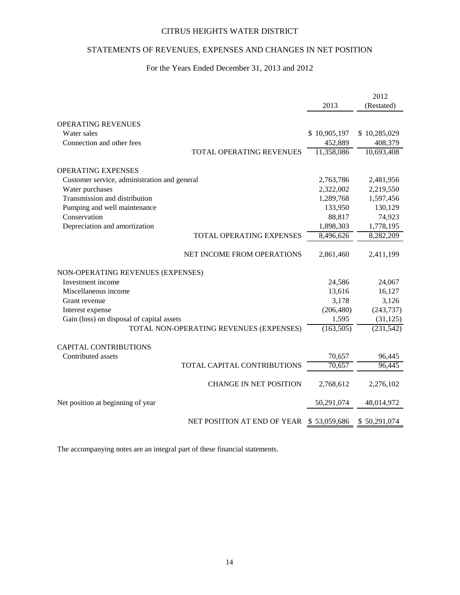### STATEMENTS OF REVENUES, EXPENSES AND CHANGES IN NET POSITION

### For the Years Ended December 31, 2013 and 2012

|                                                              | 2013                  | 2012<br>(Restated)    |
|--------------------------------------------------------------|-----------------------|-----------------------|
|                                                              |                       |                       |
| OPERATING REVENUES                                           |                       |                       |
| Water sales                                                  | \$10,905,197          | \$10,285,029          |
| Connection and other fees<br><b>TOTAL OPERATING REVENUES</b> | 452,889<br>11,358,086 | 408,379<br>10,693,408 |
|                                                              |                       |                       |
| <b>OPERATING EXPENSES</b>                                    |                       |                       |
| Customer service, administration and general                 | 2,763,786             | 2,481,956             |
| Water purchases                                              | 2,322,002             | 2,219,550             |
| Transmission and distribution                                | 1,289,768             | 1,597,456             |
| Pumping and well maintenance                                 | 133,950               | 130,129               |
| Conservation                                                 | 88,817                | 74,923                |
| Depreciation and amortization                                | 1,898,303             | 1,778,195             |
| <b>TOTAL OPERATING EXPENSES</b>                              | 8,496,626             | 8,282,209             |
| NET INCOME FROM OPERATIONS                                   | 2,861,460             | 2,411,199             |
| NON-OPERATING REVENUES (EXPENSES)                            |                       |                       |
| Investment income                                            | 24,586                | 24,067                |
| Miscellaneous income                                         | 13,616                | 16,127                |
| Grant revenue                                                | 3,178                 | 3,126                 |
| Interest expense                                             | (206, 480)            | (243, 737)            |
| Gain (loss) on disposal of capital assets                    | 1,595                 | (31, 125)             |
| TOTAL NON-OPERATING REVENUES (EXPENSES)                      | (163, 505)            | (231, 542)            |
|                                                              |                       |                       |
| <b>CAPITAL CONTRIBUTIONS</b>                                 |                       |                       |
| Contributed assets                                           | 70,657                | 96,445                |
| TOTAL CAPITAL CONTRIBUTIONS                                  | 70,657                | 96,445                |
| <b>CHANGE IN NET POSITION</b>                                | 2,768,612             | 2,276,102             |
| Net position at beginning of year                            | 50,291,074            | 48,014,972            |
| NET POSITION AT END OF YEAR \$53,059,686                     |                       | \$50,291,074          |

The accompanying notes are an integral part of these financial statements.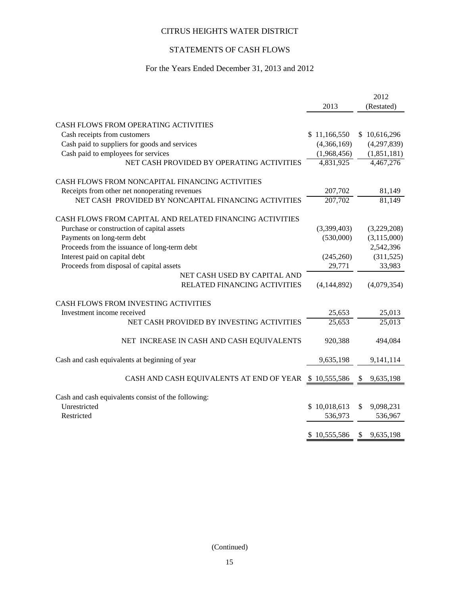### STATEMENTS OF CASH FLOWS

## For the Years Ended December 31, 2013 and 2012

|                                                          |              | 2012            |
|----------------------------------------------------------|--------------|-----------------|
|                                                          | 2013         | (Restated)      |
|                                                          |              |                 |
| CASH FLOWS FROM OPERATING ACTIVITIES                     |              |                 |
| Cash receipts from customers                             | \$11,166,550 | \$10,616,296    |
| Cash paid to suppliers for goods and services            | (4,366,169)  | (4,297,839)     |
| Cash paid to employees for services                      | (1,968,456)  | (1,851,181)     |
| NET CASH PROVIDED BY OPERATING ACTIVITIES                | 4,831,925    | 4,467,276       |
| CASH FLOWS FROM NONCAPITAL FINANCING ACTIVITIES          |              |                 |
| Receipts from other net nonoperating revenues            | 207,702      | 81,149          |
| NET CASH PROVIDED BY NONCAPITAL FINANCING ACTIVITIES     | 207,702      | 81,149          |
| CASH FLOWS FROM CAPITAL AND RELATED FINANCING ACTIVITIES |              |                 |
| Purchase or construction of capital assets               | (3,399,403)  | (3,229,208)     |
| Payments on long-term debt                               | (530,000)    | (3,115,000)     |
| Proceeds from the issuance of long-term debt             |              | 2,542,396       |
| Interest paid on capital debt                            | (245,260)    | (311, 525)      |
| Proceeds from disposal of capital assets                 | 29,771       | 33,983          |
| NET CASH USED BY CAPITAL AND                             |              |                 |
| RELATED FINANCING ACTIVITIES                             | (4,144,892)  | (4,079,354)     |
|                                                          |              |                 |
| CASH FLOWS FROM INVESTING ACTIVITIES                     |              |                 |
| Investment income received                               | 25,653       | 25,013          |
| NET CASH PROVIDED BY INVESTING ACTIVITIES                | 25,653       | 25,013          |
|                                                          |              |                 |
| NET INCREASE IN CASH AND CASH EQUIVALENTS                | 920,388      | 494,084         |
|                                                          |              |                 |
| Cash and cash equivalents at beginning of year           | 9,635,198    | 9,141,114       |
| CASH AND CASH EQUIVALENTS AT END OF YEAR                 | \$10,555,586 | 9,635,198       |
|                                                          |              |                 |
| Cash and cash equivalents consist of the following:      |              |                 |
| Unrestricted                                             | \$10,018,613 | \$<br>9,098,231 |
| Restricted                                               | 536,973      | 536,967         |
|                                                          | \$10,555,586 | \$9,635,198     |
|                                                          |              |                 |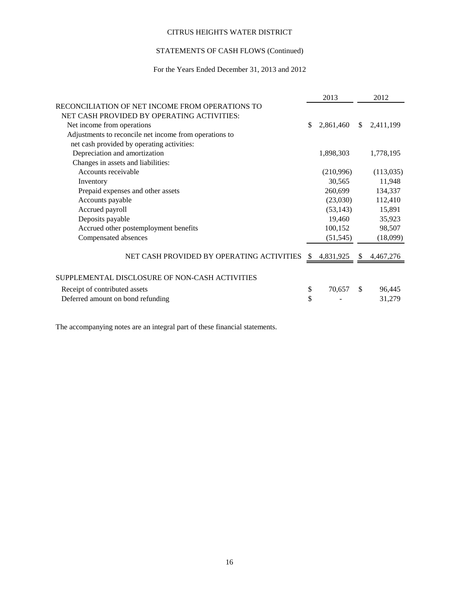### STATEMENTS OF CASH FLOWS (Continued)

### For the Years Ended December 31, 2013 and 2012

|                                                        | 2013            |               | 2012      |
|--------------------------------------------------------|-----------------|---------------|-----------|
| RECONCILIATION OF NET INCOME FROM OPERATIONS TO        |                 |               |           |
| NET CASH PROVIDED BY OPERATING ACTIVITIES:             |                 |               |           |
| Net income from operations                             | \$<br>2,861,460 | <sup>\$</sup> | 2,411,199 |
| Adjustments to reconcile net income from operations to |                 |               |           |
| net cash provided by operating activities:             |                 |               |           |
| Depreciation and amortization                          | 1,898,303       |               | 1,778,195 |
| Changes in assets and liabilities:                     |                 |               |           |
| Accounts receivable                                    | (210,996)       |               | (113,035) |
| Inventory                                              | 30,565          |               | 11,948    |
| Prepaid expenses and other assets                      | 260,699         |               | 134,337   |
| Accounts payable                                       | (23,030)        |               | 112,410   |
| Accrued payroll                                        | (53, 143)       |               | 15,891    |
| Deposits payable                                       | 19,460          |               | 35,923    |
| Accrued other postemployment benefits                  | 100,152         |               | 98,507    |
| Compensated absences                                   | (51, 545)       |               | (18,099)  |
|                                                        |                 |               |           |
| NET CASH PROVIDED BY OPERATING ACTIVITIES              | \$<br>4,831,925 | S             | 4,467,276 |
|                                                        |                 |               |           |
| SUPPLEMENTAL DISCLOSURE OF NON-CASH ACTIVITIES         |                 |               |           |
| Receipt of contributed assets                          | \$<br>70,657    | \$            | 96,445    |
| Deferred amount on bond refunding                      | \$              |               | 31,279    |
|                                                        |                 |               |           |

The accompanying notes are an integral part of these financial statements.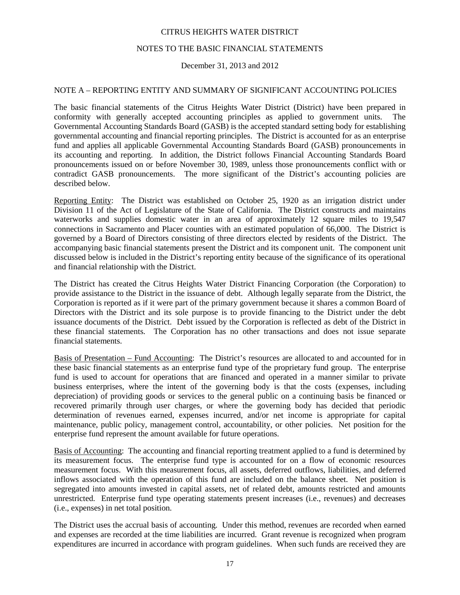#### NOTES TO THE BASIC FINANCIAL STATEMENTS

#### December 31, 2013 and 2012

#### NOTE A – REPORTING ENTITY AND SUMMARY OF SIGNIFICANT ACCOUNTING POLICIES

The basic financial statements of the Citrus Heights Water District (District) have been prepared in conformity with generally accepted accounting principles as applied to government units. The Governmental Accounting Standards Board (GASB) is the accepted standard setting body for establishing governmental accounting and financial reporting principles. The District is accounted for as an enterprise fund and applies all applicable Governmental Accounting Standards Board (GASB) pronouncements in its accounting and reporting. In addition, the District follows Financial Accounting Standards Board pronouncements issued on or before November 30, 1989, unless those pronouncements conflict with or contradict GASB pronouncements. The more significant of the District's accounting policies are described below.

Reporting Entity: The District was established on October 25, 1920 as an irrigation district under Division 11 of the Act of Legislature of the State of California. The District constructs and maintains waterworks and supplies domestic water in an area of approximately 12 square miles to 19,547 connections in Sacramento and Placer counties with an estimated population of 66,000. The District is governed by a Board of Directors consisting of three directors elected by residents of the District. The accompanying basic financial statements present the District and its component unit. The component unit discussed below is included in the District's reporting entity because of the significance of its operational and financial relationship with the District.

The District has created the Citrus Heights Water District Financing Corporation (the Corporation) to provide assistance to the District in the issuance of debt. Although legally separate from the District, the Corporation is reported as if it were part of the primary government because it shares a common Board of Directors with the District and its sole purpose is to provide financing to the District under the debt issuance documents of the District. Debt issued by the Corporation is reflected as debt of the District in these financial statements. The Corporation has no other transactions and does not issue separate financial statements.

Basis of Presentation – Fund Accounting: The District's resources are allocated to and accounted for in these basic financial statements as an enterprise fund type of the proprietary fund group. The enterprise fund is used to account for operations that are financed and operated in a manner similar to private business enterprises, where the intent of the governing body is that the costs (expenses, including depreciation) of providing goods or services to the general public on a continuing basis be financed or recovered primarily through user charges, or where the governing body has decided that periodic determination of revenues earned, expenses incurred, and/or net income is appropriate for capital maintenance, public policy, management control, accountability, or other policies. Net position for the enterprise fund represent the amount available for future operations.

Basis of Accounting: The accounting and financial reporting treatment applied to a fund is determined by its measurement focus. The enterprise fund type is accounted for on a flow of economic resources measurement focus. With this measurement focus, all assets, deferred outflows, liabilities, and deferred inflows associated with the operation of this fund are included on the balance sheet. Net position is segregated into amounts invested in capital assets, net of related debt, amounts restricted and amounts unrestricted. Enterprise fund type operating statements present increases (i.e., revenues) and decreases (i.e., expenses) in net total position.

The District uses the accrual basis of accounting. Under this method, revenues are recorded when earned and expenses are recorded at the time liabilities are incurred. Grant revenue is recognized when program expenditures are incurred in accordance with program guidelines. When such funds are received they are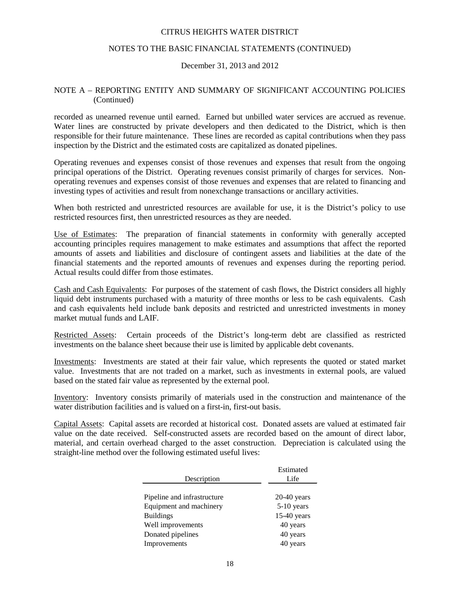#### NOTES TO THE BASIC FINANCIAL STATEMENTS (CONTINUED)

#### December 31, 2013 and 2012

#### NOTE A – REPORTING ENTITY AND SUMMARY OF SIGNIFICANT ACCOUNTING POLICIES (Continued)

recorded as unearned revenue until earned. Earned but unbilled water services are accrued as revenue. Water lines are constructed by private developers and then dedicated to the District, which is then responsible for their future maintenance. These lines are recorded as capital contributions when they pass inspection by the District and the estimated costs are capitalized as donated pipelines.

Operating revenues and expenses consist of those revenues and expenses that result from the ongoing principal operations of the District. Operating revenues consist primarily of charges for services. Nonoperating revenues and expenses consist of those revenues and expenses that are related to financing and investing types of activities and result from nonexchange transactions or ancillary activities.

When both restricted and unrestricted resources are available for use, it is the District's policy to use restricted resources first, then unrestricted resources as they are needed.

Use of Estimates: The preparation of financial statements in conformity with generally accepted accounting principles requires management to make estimates and assumptions that affect the reported amounts of assets and liabilities and disclosure of contingent assets and liabilities at the date of the financial statements and the reported amounts of revenues and expenses during the reporting period. Actual results could differ from those estimates.

Cash and Cash Equivalents: For purposes of the statement of cash flows, the District considers all highly liquid debt instruments purchased with a maturity of three months or less to be cash equivalents. Cash and cash equivalents held include bank deposits and restricted and unrestricted investments in money market mutual funds and LAIF.

Restricted Assets: Certain proceeds of the District's long-term debt are classified as restricted investments on the balance sheet because their use is limited by applicable debt covenants.

Investments: Investments are stated at their fair value, which represents the quoted or stated market value. Investments that are not traded on a market, such as investments in external pools, are valued based on the stated fair value as represented by the external pool.

Inventory: Inventory consists primarily of materials used in the construction and maintenance of the water distribution facilities and is valued on a first-in, first-out basis.

Capital Assets: Capital assets are recorded at historical cost. Donated assets are valued at estimated fair value on the date received. Self-constructed assets are recorded based on the amount of direct labor, material, and certain overhead charged to the asset construction. Depreciation is calculated using the straight-line method over the following estimated useful lives:

|                             | Estimated     |
|-----------------------------|---------------|
| Description                 | Life          |
|                             |               |
| Pipeline and infrastructure | $20-40$ years |
| Equipment and machinery     | $5-10$ years  |
| <b>Buildings</b>            | $15-40$ years |
| Well improvements           | 40 years      |
| Donated pipelines           | 40 years      |
| Improvements                | 40 years      |
|                             |               |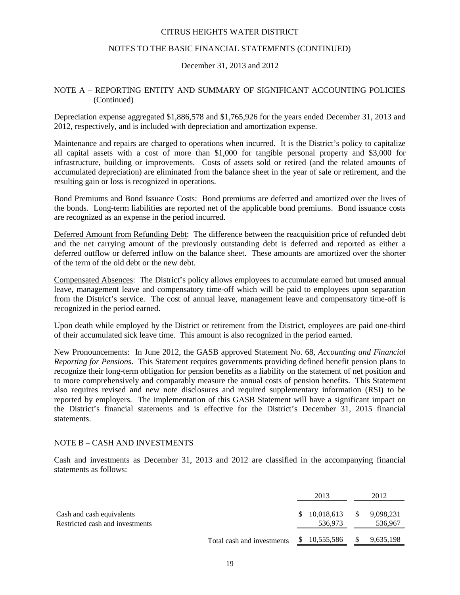#### NOTES TO THE BASIC FINANCIAL STATEMENTS (CONTINUED)

#### December 31, 2013 and 2012

#### NOTE A – REPORTING ENTITY AND SUMMARY OF SIGNIFICANT ACCOUNTING POLICIES (Continued)

Depreciation expense aggregated \$1,886,578 and \$1,765,926 for the years ended December 31, 2013 and 2012, respectively, and is included with depreciation and amortization expense.

Maintenance and repairs are charged to operations when incurred. It is the District's policy to capitalize all capital assets with a cost of more than \$1,000 for tangible personal property and \$3,000 for infrastructure, building or improvements. Costs of assets sold or retired (and the related amounts of accumulated depreciation) are eliminated from the balance sheet in the year of sale or retirement, and the resulting gain or loss is recognized in operations.

Bond Premiums and Bond Issuance Costs: Bond premiums are deferred and amortized over the lives of the bonds. Long-term liabilities are reported net of the applicable bond premiums. Bond issuance costs are recognized as an expense in the period incurred.

Deferred Amount from Refunding Debt: The difference between the reacquisition price of refunded debt and the net carrying amount of the previously outstanding debt is deferred and reported as either a deferred outflow or deferred inflow on the balance sheet. These amounts are amortized over the shorter of the term of the old debt or the new debt.

Compensated Absences: The District's policy allows employees to accumulate earned but unused annual leave, management leave and compensatory time-off which will be paid to employees upon separation from the District's service. The cost of annual leave, management leave and compensatory time-off is recognized in the period earned.

Upon death while employed by the District or retirement from the District, employees are paid one-third of their accumulated sick leave time. This amount is also recognized in the period earned.

New Pronouncements: In June 2012, the GASB approved Statement No. 68, *Accounting and Financial Reporting for Pensions*. This Statement requires governments providing defined benefit pension plans to recognize their long-term obligation for pension benefits as a liability on the statement of net position and to more comprehensively and comparably measure the annual costs of pension benefits. This Statement also requires revised and new note disclosures and required supplementary information (RSI) to be reported by employers. The implementation of this GASB Statement will have a significant impact on the District's financial statements and is effective for the District's December 31, 2015 financial statements.

#### NOTE B – CASH AND INVESTMENTS

Cash and investments as December 31, 2013 and 2012 are classified in the accompanying financial statements as follows:

|                                                              |                            |               | 2013                  |    | 2012                 |
|--------------------------------------------------------------|----------------------------|---------------|-----------------------|----|----------------------|
| Cash and cash equivalents<br>Restricted cash and investments |                            | <sup>\$</sup> | 10,018,613<br>536,973 | S. | 9,098,231<br>536,967 |
|                                                              | Total cash and investments |               | 10,555,586            | \$ | 9,635,198            |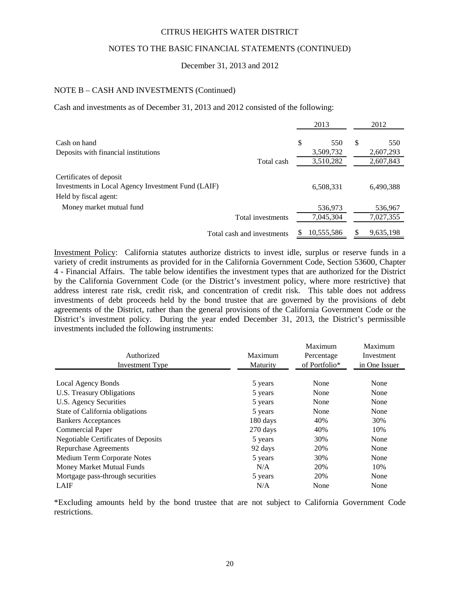#### NOTES TO THE BASIC FINANCIAL STATEMENTS (CONTINUED)

#### December 31, 2013 and 2012

#### NOTE B – CASH AND INVESTMENTS (Continued)

Cash and investments as of December 31, 2013 and 2012 consisted of the following:

|                                                    | 2013       |    | 2012      |
|----------------------------------------------------|------------|----|-----------|
| Cash on hand                                       | \$<br>550  | \$ | 550       |
| Deposits with financial institutions               | 3,509,732  |    | 2,607,293 |
| Total cash                                         | 3,510,282  |    | 2,607,843 |
| Certificates of deposit                            |            |    |           |
| Investments in Local Agency Investment Fund (LAIF) | 6,508,331  |    | 6,490,388 |
| Held by fiscal agent:                              |            |    |           |
| Money market mutual fund                           | 536,973    |    | 536,967   |
| Total investments                                  | 7,045,304  |    | 7,027,355 |
| Total cash and investments                         | 10,555,586 | S  | 9,635,198 |

Investment Policy: California statutes authorize districts to invest idle, surplus or reserve funds in a variety of credit instruments as provided for in the California Government Code, Section 53600, Chapter 4 - Financial Affairs. The table below identifies the investment types that are authorized for the District by the California Government Code (or the District's investment policy, where more restrictive) that address interest rate risk, credit risk, and concentration of credit risk. This table does not address investments of debt proceeds held by the bond trustee that are governed by the provisions of debt agreements of the District, rather than the general provisions of the California Government Code or the District's investment policy. During the year ended December 31, 2013, the District's permissible investments included the following instruments:

| Authorized<br>Investment Type              | Maximum<br>Maturity | Maximum<br>Percentage<br>of Portfolio* | Maximum<br>Investment<br>in One Issuer |
|--------------------------------------------|---------------------|----------------------------------------|----------------------------------------|
| Local Agency Bonds                         | 5 years             | None                                   | None                                   |
| U.S. Treasury Obligations                  | 5 years             | None                                   | None                                   |
| U.S. Agency Securities                     | 5 years             | None                                   | None                                   |
| State of California obligations            | 5 years             | None                                   | None                                   |
| <b>Bankers Acceptances</b>                 | 180 days            | 40%                                    | 30%                                    |
| Commercial Paper                           | 270 days            | 40%                                    | 10%                                    |
| <b>Negotiable Certificates of Deposits</b> | 5 years             | 30%                                    | None                                   |
| <b>Repurchase Agreements</b>               | 92 days             | 20%                                    | None                                   |
| Medium Term Corporate Notes                | 5 years             | 30%                                    | None                                   |
| Money Market Mutual Funds                  | N/A                 | 20%                                    | 10%                                    |
| Mortgage pass-through securities           | 5 years             | 20%                                    | None                                   |
| LAIF                                       | N/A                 | None                                   | None                                   |

\*Excluding amounts held by the bond trustee that are not subject to California Government Code restrictions.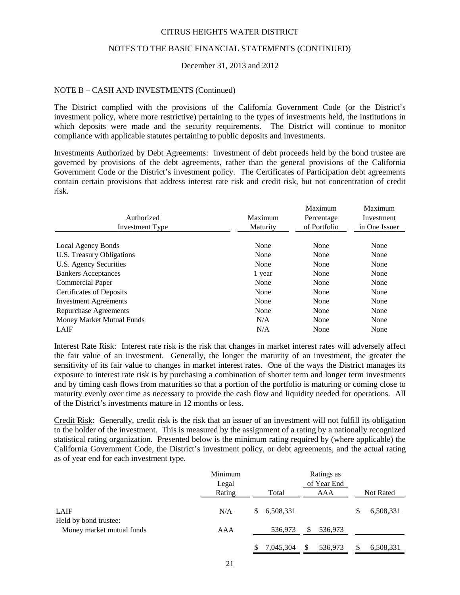#### NOTES TO THE BASIC FINANCIAL STATEMENTS (CONTINUED)

#### December 31, 2013 and 2012

#### NOTE B – CASH AND INVESTMENTS (Continued)

The District complied with the provisions of the California Government Code (or the District's investment policy, where more restrictive) pertaining to the types of investments held, the institutions in which deposits were made and the security requirements. The District will continue to monitor compliance with applicable statutes pertaining to public deposits and investments.

Investments Authorized by Debt Agreements: Investment of debt proceeds held by the bond trustee are governed by provisions of the debt agreements, rather than the general provisions of the California Government Code or the District's investment policy. The Certificates of Participation debt agreements contain certain provisions that address interest rate risk and credit risk, but not concentration of credit risk.

| Authorized<br>Investment Type   | Maximum<br>Maturity | Maximum<br>Percentage<br>of Portfolio | Maximum<br>Investment<br>in One Issuer |
|---------------------------------|---------------------|---------------------------------------|----------------------------------------|
|                                 |                     |                                       |                                        |
| Local Agency Bonds              | None                | None                                  | None                                   |
| U.S. Treasury Obligations       | None                | None                                  | None                                   |
| U.S. Agency Securities          | None                | None                                  | None                                   |
| <b>Bankers Acceptances</b>      | 1 year              | None                                  | None                                   |
| Commercial Paper                | None                | None                                  | None                                   |
| <b>Certificates of Deposits</b> | None                | None                                  | None                                   |
| <b>Investment Agreements</b>    | None                | None                                  | None                                   |
| Repurchase Agreements           | None                | None                                  | None                                   |
| Money Market Mutual Funds       | N/A                 | None                                  | None                                   |
| <b>LAIF</b>                     | N/A                 | None                                  | None                                   |

Interest Rate Risk: Interest rate risk is the risk that changes in market interest rates will adversely affect the fair value of an investment. Generally, the longer the maturity of an investment, the greater the sensitivity of its fair value to changes in market interest rates. One of the ways the District manages its exposure to interest rate risk is by purchasing a combination of shorter term and longer term investments and by timing cash flows from maturities so that a portion of the portfolio is maturing or coming close to maturity evenly over time as necessary to provide the cash flow and liquidity needed for operations. All of the District's investments mature in 12 months or less.

Credit Risk: Generally, credit risk is the risk that an issuer of an investment will not fulfill its obligation to the holder of the investment. This is measured by the assignment of a rating by a nationally recognized statistical rating organization. Presented below is the minimum rating required by (where applicable) the California Government Code, the District's investment policy, or debt agreements, and the actual rating as of year end for each investment type.

|                           | Minimum |       |           |     | Ratings as  |  |           |           |
|---------------------------|---------|-------|-----------|-----|-------------|--|-----------|-----------|
|                           | Legal   |       |           |     | of Year End |  |           |           |
|                           | Rating  | Total |           | AAA |             |  |           | Not Rated |
|                           |         |       |           |     |             |  |           |           |
| LAIF                      | N/A     | S.    | 6,508,331 |     |             |  | 6,508,331 |           |
| Held by bond trustee:     |         |       |           |     |             |  |           |           |
| Money market mutual funds | AAA     |       | 536,973   | \$  | 536,973     |  |           |           |
|                           |         |       | 7,045,304 | S   | 536,973     |  | 6,508,331 |           |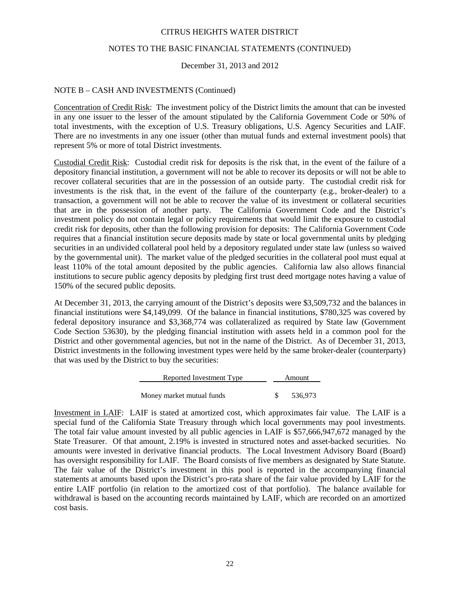#### NOTES TO THE BASIC FINANCIAL STATEMENTS (CONTINUED)

#### December 31, 2013 and 2012

#### NOTE B – CASH AND INVESTMENTS (Continued)

Concentration of Credit Risk: The investment policy of the District limits the amount that can be invested in any one issuer to the lesser of the amount stipulated by the California Government Code or 50% of total investments, with the exception of U.S. Treasury obligations, U.S. Agency Securities and LAIF. There are no investments in any one issuer (other than mutual funds and external investment pools) that represent 5% or more of total District investments.

Custodial Credit Risk: Custodial credit risk for deposits is the risk that, in the event of the failure of a depository financial institution, a government will not be able to recover its deposits or will not be able to recover collateral securities that are in the possession of an outside party. The custodial credit risk for investments is the risk that, in the event of the failure of the counterparty (e.g., broker-dealer) to a transaction, a government will not be able to recover the value of its investment or collateral securities that are in the possession of another party. The California Government Code and the District's investment policy do not contain legal or policy requirements that would limit the exposure to custodial credit risk for deposits, other than the following provision for deposits: The California Government Code requires that a financial institution secure deposits made by state or local governmental units by pledging securities in an undivided collateral pool held by a depository regulated under state law (unless so waived by the governmental unit). The market value of the pledged securities in the collateral pool must equal at least 110% of the total amount deposited by the public agencies. California law also allows financial institutions to secure public agency deposits by pledging first trust deed mortgage notes having a value of 150% of the secured public deposits.

At December 31, 2013, the carrying amount of the District's deposits were \$3,509,732 and the balances in financial institutions were \$4,149,099. Of the balance in financial institutions, \$780,325 was covered by federal depository insurance and \$3,368,774 was collateralized as required by State law (Government Code Section 53630), by the pledging financial institution with assets held in a common pool for the District and other governmental agencies, but not in the name of the District. As of December 31, 2013, District investments in the following investment types were held by the same broker-dealer (counterparty) that was used by the District to buy the securities:

| Reported Investment Type  | Amount  |  |  |  |  |
|---------------------------|---------|--|--|--|--|
|                           |         |  |  |  |  |
| Money market mutual funds | 536.973 |  |  |  |  |

Investment in LAIF: LAIF is stated at amortized cost, which approximates fair value. The LAIF is a special fund of the California State Treasury through which local governments may pool investments. The total fair value amount invested by all public agencies in LAIF is \$57,666,947,672 managed by the State Treasurer. Of that amount, 2.19% is invested in structured notes and asset-backed securities. No amounts were invested in derivative financial products. The Local Investment Advisory Board (Board) has oversight responsibility for LAIF. The Board consists of five members as designated by State Statute. The fair value of the District's investment in this pool is reported in the accompanying financial statements at amounts based upon the District's pro-rata share of the fair value provided by LAIF for the entire LAIF portfolio (in relation to the amortized cost of that portfolio). The balance available for withdrawal is based on the accounting records maintained by LAIF, which are recorded on an amortized cost basis.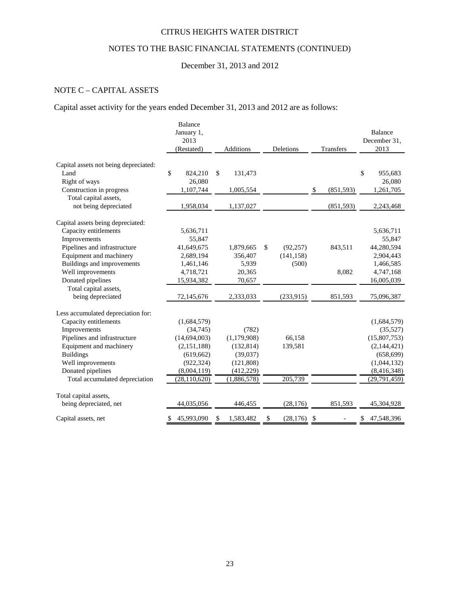### NOTES TO THE BASIC FINANCIAL STATEMENTS (CONTINUED)

### December 31, 2013 and 2012

#### NOTE C – CAPITAL ASSETS

Capital asset activity for the years ended December 31, 2013 and 2012 are as follows:

|                                       | Balance        |               |                 |                            |                |
|---------------------------------------|----------------|---------------|-----------------|----------------------------|----------------|
|                                       | January 1,     |               |                 |                            | <b>Balance</b> |
|                                       | 2013           |               |                 |                            | December 31,   |
|                                       | (Restated)     | Additions     | Deletions       | Transfers                  | 2013           |
| Capital assets not being depreciated: |                |               |                 |                            |                |
| Land                                  | \$<br>824,210  | \$<br>131,473 |                 |                            | \$<br>955,683  |
| Right of ways                         | 26,080         |               |                 |                            | 26,080         |
| Construction in progress              | 1,107,744      | 1,005,554     |                 | $\mathbb{S}$<br>(851, 593) | 1,261,705      |
| Total capital assets,                 |                |               |                 |                            |                |
| not being depreciated                 | 1,958,034      | 1,137,027     |                 | (851, 593)                 | 2,243,468      |
| Capital assets being depreciated:     |                |               |                 |                            |                |
| Capacity entitlements                 | 5,636,711      |               |                 |                            | 5,636,711      |
| Improvements                          | 55,847         |               |                 |                            | 55,847         |
| Pipelines and infrastructure          | 41,649,675     | 1,879,665     | \$<br>(92, 257) | 843,511                    | 44,280,594     |
| Equipment and machinery               | 2,689,194      | 356,407       | (141, 158)      |                            | 2,904,443      |
| Buildings and improvements            | 1,461,146      | 5,939         | (500)           |                            | 1,466,585      |
| Well improvements                     | 4,718,721      | 20,365        |                 | 8,082                      | 4,747,168      |
| Donated pipelines                     | 15,934,382     | 70,657        |                 |                            | 16,005,039     |
| Total capital assets,                 |                |               |                 |                            |                |
| being depreciated                     | 72,145,676     | 2,333,033     | (233,915)       | 851,593                    | 75,096,387     |
| Less accumulated depreciation for:    |                |               |                 |                            |                |
| Capacity entitlements                 | (1,684,579)    |               |                 |                            | (1,684,579)    |
| Improvements                          | (34, 745)      | (782)         |                 |                            | (35, 527)      |
| Pipelines and infrastructure          | (14,694,003)   | (1,179,908)   | 66,158          |                            | (15,807,753)   |
| Equipment and machinery               | (2,151,188)    | (132, 814)    | 139,581         |                            | (2,144,421)    |
| <b>Buildings</b>                      | (619, 662)     | (39,037)      |                 |                            | (658, 699)     |
| Well improvements                     | (922, 324)     | (121, 808)    |                 |                            | (1,044,132)    |
| Donated pipelines                     | (8,004,119)    | (412, 229)    |                 |                            | (8, 416, 348)  |
| Total accumulated depreciation        | (28, 110, 620) | (1,886,578)   | 205,739         |                            | (29, 791, 459) |
| Total capital assets,                 |                |               |                 |                            |                |
| being depreciated, net                | 44,035,056     | 446,455       | (28, 176)       | 851,593                    | 45,304,928     |
| Capital assets, net                   | 45,993,090     | 1,583,482     | \$<br>(28, 176) | \$                         | 47,548,396     |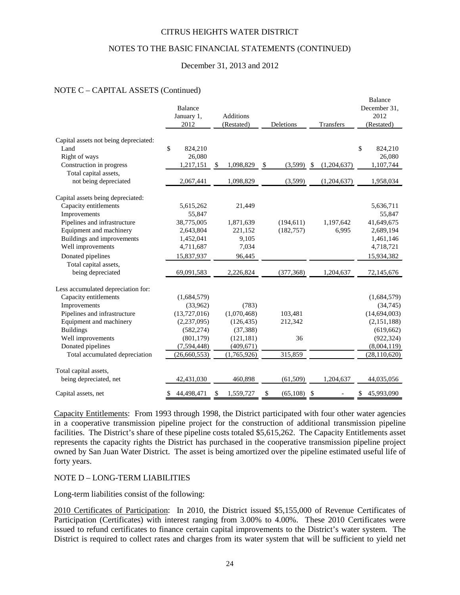#### NOTES TO THE BASIC FINANCIAL STATEMENTS (CONTINUED)

#### December 31, 2013 and 2012

#### NOTE C – CAPITAL ASSETS (Continued)

|                                       | <b>Balance</b><br>January 1,<br>2012 | <b>Additions</b><br>(Restated) | Deletions       |     | Transfers   | Balance<br>December 31,<br>2012<br>(Restated) |
|---------------------------------------|--------------------------------------|--------------------------------|-----------------|-----|-------------|-----------------------------------------------|
| Capital assets not being depreciated: |                                      |                                |                 |     |             |                                               |
| Land                                  | \$<br>824,210                        |                                |                 |     |             | \$<br>824,210                                 |
| Right of ways                         | 26,080                               |                                |                 |     |             | 26,080                                        |
| Construction in progress              | 1,217,151                            | \$<br>1,098,829                | \$<br>(3,599)   | -\$ | (1,204,637) | 1,107,744                                     |
| Total capital assets,                 |                                      |                                |                 |     |             |                                               |
| not being depreciated                 | 2,067,441                            | 1,098,829                      | (3,599)         |     | (1,204,637) | 1,958,034                                     |
| Capital assets being depreciated:     |                                      |                                |                 |     |             |                                               |
| Capacity entitlements                 | 5,615,262                            | 21,449                         |                 |     |             | 5,636,711                                     |
| Improvements                          | 55,847                               |                                |                 |     |             | 55,847                                        |
| Pipelines and infrastructure          | 38,775,005                           | 1,871,639                      | (194, 611)      |     | 1,197,642   | 41,649,675                                    |
| Equipment and machinery               | 2,643,804                            | 221,152                        | (182, 757)      |     | 6,995       | 2,689,194                                     |
| Buildings and improvements            | 1,452,041                            | 9,105                          |                 |     |             | 1,461,146                                     |
| Well improvements                     | 4,711,687                            | 7,034                          |                 |     |             | 4,718,721                                     |
| Donated pipelines                     | 15,837,937                           | 96,445                         |                 |     |             | 15,934,382                                    |
| Total capital assets,                 |                                      |                                |                 |     |             |                                               |
| being depreciated                     | 69,091,583                           | 2,226,824                      | (377, 368)      |     | 1,204,637   | 72,145,676                                    |
| Less accumulated depreciation for:    |                                      |                                |                 |     |             |                                               |
| Capacity entitlements                 | (1,684,579)                          |                                |                 |     |             | (1,684,579)                                   |
| Improvements                          | (33,962)                             | (783)                          |                 |     |             | (34,745)                                      |
| Pipelines and infrastructure          | (13, 727, 016)                       | (1,070,468)                    | 103,481         |     |             | (14,694,003)                                  |
| Equipment and machinery               | (2, 237, 095)                        | (126, 435)                     | 212,342         |     |             | (2,151,188)                                   |
| <b>Buildings</b>                      | (582, 274)                           | (37, 388)                      |                 |     |             | (619, 662)                                    |
| Well improvements                     | (801, 179)                           | (121, 181)                     | 36              |     |             | (922, 324)                                    |
| Donated pipelines                     | (7, 594, 448)                        | (409, 671)                     |                 |     |             | (8,004,119)                                   |
| Total accumulated depreciation        | (26,660,553)                         | (1,765,926)                    | 315,859         |     |             | (28, 110, 620)                                |
| Total capital assets,                 |                                      |                                |                 |     |             |                                               |
| being depreciated, net                | 42,431,030                           | 460,898                        | (61, 509)       |     | 1,204,637   | 44,035,056                                    |
| Capital assets, net                   | \$<br>44,498,471                     | \$<br>1,559,727                | \$<br>(65, 108) | -\$ |             | \$<br>45,993,090                              |

Capacity Entitlements: From 1993 through 1998, the District participated with four other water agencies in a cooperative transmission pipeline project for the construction of additional transmission pipeline facilities. The District's share of these pipeline costs totaled \$5,615,262. The Capacity Entitlements asset represents the capacity rights the District has purchased in the cooperative transmission pipeline project owned by San Juan Water District. The asset is being amortized over the pipeline estimated useful life of forty years.

#### NOTE D – LONG-TERM LIABILITIES

Long-term liabilities consist of the following:

2010 Certificates of Participation: In 2010, the District issued \$5,155,000 of Revenue Certificates of Participation (Certificates) with interest ranging from 3.00% to 4.00%. These 2010 Certificates were issued to refund certificates to finance certain capital improvements to the District's water system. The District is required to collect rates and charges from its water system that will be sufficient to yield net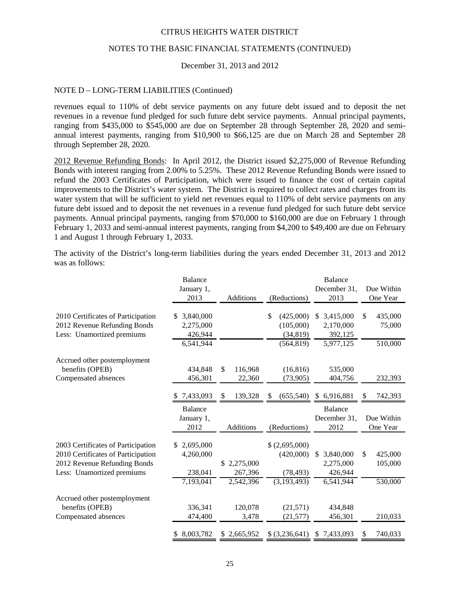#### NOTES TO THE BASIC FINANCIAL STATEMENTS (CONTINUED)

#### December 31, 2013 and 2012

#### NOTE D – LONG-TERM LIABILITIES (Continued)

revenues equal to 110% of debt service payments on any future debt issued and to deposit the net revenues in a revenue fund pledged for such future debt service payments. Annual principal payments, ranging from \$435,000 to \$545,000 are due on September 28 through September 28, 2020 and semiannual interest payments, ranging from \$10,900 to \$66,125 are due on March 28 and September 28 through September 28, 2020.

2012 Revenue Refunding Bonds: In April 2012, the District issued \$2,275,000 of Revenue Refunding Bonds with interest ranging from 2.00% to 5.25%. These 2012 Revenue Refunding Bonds were issued to refund the 2003 Certificates of Participation, which were issued to finance the cost of certain capital improvements to the District's water system. The District is required to collect rates and charges from its water system that will be sufficient to yield net revenues equal to 110% of debt service payments on any future debt issued and to deposit the net revenues in a revenue fund pledged for such future debt service payments. Annual principal payments, ranging from \$70,000 to \$160,000 are due on February 1 through February 1, 2033 and semi-annual interest payments, ranging from \$4,200 to \$49,400 are due on February 1 and August 1 through February 1, 2033.

The activity of the District's long-term liabilities during the years ended December 31, 2013 and 2012 was as follows:

|                                    | <b>Balance</b>  |               |                 | <b>Balance</b>             |               |
|------------------------------------|-----------------|---------------|-----------------|----------------------------|---------------|
|                                    | January 1,      |               |                 | December 31,               | Due Within    |
|                                    | 2013            | Additions     | (Reductions)    | 2013                       | One Year      |
|                                    |                 |               |                 |                            |               |
| 2010 Certificates of Participation | 3,840,000       |               | \$<br>(425,000) | 3,415,000<br><sup>\$</sup> | \$<br>435,000 |
| 2012 Revenue Refunding Bonds       | 2,275,000       |               | (105,000)       | 2,170,000                  | 75,000        |
| Less: Unamortized premiums         | 426,944         |               | (34, 819)       | 392,125                    |               |
|                                    | 6,541,944       |               | (564, 819)      | 5,977,125                  | 510,000       |
| Accrued other postemployment       |                 |               |                 |                            |               |
| benefits (OPEB)                    | 434,848         | \$<br>116,968 | (16, 816)       | 535,000                    |               |
| Compensated absences               | 456,301         | 22,360        | (73,905)        | 404,756                    | 232,393       |
|                                    |                 |               |                 |                            |               |
|                                    | 7,433,093       | 139,328       | (655,540)       | \$6,916,881                | 742,393       |
|                                    | <b>Balance</b>  |               |                 | <b>Balance</b>             |               |
|                                    | January 1,      |               |                 | December 31,               | Due Within    |
|                                    | 2012            | Additions     | (Reductions)    | 2012                       | One Year      |
|                                    |                 |               |                 |                            |               |
| 2003 Certificates of Participation | 2,695,000<br>\$ |               | \$ (2,695,000)  |                            |               |
| 2010 Certificates of Participation | 4,260,000       |               | (420,000)       | <sup>\$</sup><br>3,840,000 | \$<br>425,000 |
| 2012 Revenue Refunding Bonds       |                 | 2,275,000     |                 | 2,275,000                  | 105,000       |
| Less: Unamortized premiums         | 238,041         | 267,396       | (78, 493)       | 426,944                    |               |
|                                    | 7,193,041       | 2,542,396     | (3, 193, 493)   | 6,541,944                  | 530,000       |
| Accrued other postemployment       |                 |               |                 |                            |               |
| benefits (OPEB)                    | 336,341         | 120,078       | (21,571)        | 434,848                    |               |
| Compensated absences               | 474,400         | 3,478         | (21, 577)       | 456,301                    | 210,033       |
|                                    |                 |               |                 |                            |               |
|                                    | 8,003,782       | 2,665,952     | $$$ (3,236,641) | 7,433,093                  | 740,033<br>\$ |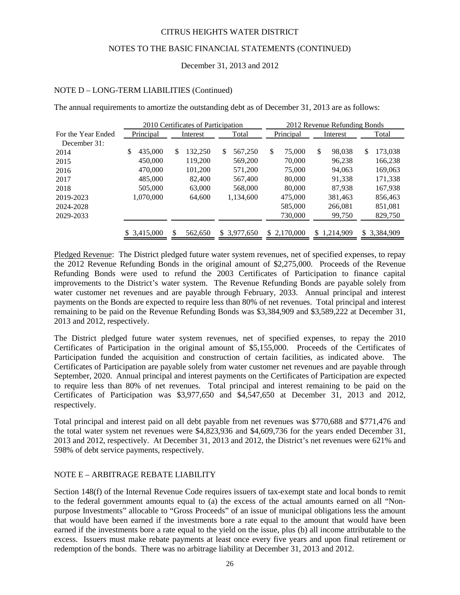#### NOTES TO THE BASIC FINANCIAL STATEMENTS (CONTINUED)

#### December 31, 2013 and 2012

#### NOTE D – LONG-TERM LIABILITIES (Continued)

The annual requirements to amortize the outstanding debt as of December 31, 2013 are as follows:

| Principal     | Interest      | Total          | Principal                          | Interest         | Total                        |
|---------------|---------------|----------------|------------------------------------|------------------|------------------------------|
|               |               |                |                                    |                  |                              |
| \$<br>435,000 | 32.250<br>\$. | \$<br>567,250  | \$<br>75,000                       | \$<br>98,038     | \$<br>173,038                |
| 450,000       | 119,200       | 569,200        | 70,000                             | 96.238           | 166,238                      |
| 470,000       | 101.200       | 571,200        | 75,000                             | 94,063           | 169,063                      |
| 485,000       | 82,400        | 567,400        | 80,000                             | 91.338           | 171,338                      |
| 505,000       | 63,000        | 568,000        | 80,000                             | 87.938           | 167,938                      |
| 1,070,000     | 64,600        | 1.134.600      | 475,000                            | 381,463          | 856,463                      |
|               |               |                | 585,000                            | 266.081          | 851,081                      |
|               |               |                | 730,000                            | 99,750           | 829,750                      |
|               |               |                |                                    |                  |                              |
| 3,415,000     | 562,650       | 3,977,650<br>S | 2,170,000<br>\$.                   | 1.214.909<br>\$. | \$3,384,909                  |
|               |               |                | 2010 Certificates of Participation |                  | 2012 Revenue Refunding Bonds |

Pledged Revenue: The District pledged future water system revenues, net of specified expenses, to repay the 2012 Revenue Refunding Bonds in the original amount of \$2,275,000. Proceeds of the Revenue Refunding Bonds were used to refund the 2003 Certificates of Participation to finance capital improvements to the District's water system. The Revenue Refunding Bonds are payable solely from water customer net revenues and are payable through February, 2033. Annual principal and interest payments on the Bonds are expected to require less than 80% of net revenues. Total principal and interest remaining to be paid on the Revenue Refunding Bonds was \$3,384,909 and \$3,589,222 at December 31, 2013 and 2012, respectively.

The District pledged future water system revenues, net of specified expenses, to repay the 2010 Certificates of Participation in the original amount of \$5,155,000. Proceeds of the Certificates of Participation funded the acquisition and construction of certain facilities, as indicated above. The Certificates of Participation are payable solely from water customer net revenues and are payable through September, 2020. Annual principal and interest payments on the Certificates of Participation are expected to require less than 80% of net revenues. Total principal and interest remaining to be paid on the Certificates of Participation was \$3,977,650 and \$4,547,650 at December 31, 2013 and 2012, respectively.

Total principal and interest paid on all debt payable from net revenues was \$770,688 and \$771,476 and the total water system net revenues were \$4,823,936 and \$4,609,736 for the years ended December 31, 2013 and 2012, respectively. At December 31, 2013 and 2012, the District's net revenues were 621% and 598% of debt service payments, respectively.

#### NOTE E – ARBITRAGE REBATE LIABILITY

Section 148(f) of the Internal Revenue Code requires issuers of tax-exempt state and local bonds to remit to the federal government amounts equal to (a) the excess of the actual amounts earned on all "Nonpurpose Investments" allocable to "Gross Proceeds" of an issue of municipal obligations less the amount that would have been earned if the investments bore a rate equal to the amount that would have been earned if the investments bore a rate equal to the yield on the issue, plus (b) all income attributable to the excess. Issuers must make rebate payments at least once every five years and upon final retirement or redemption of the bonds. There was no arbitrage liability at December 31, 2013 and 2012.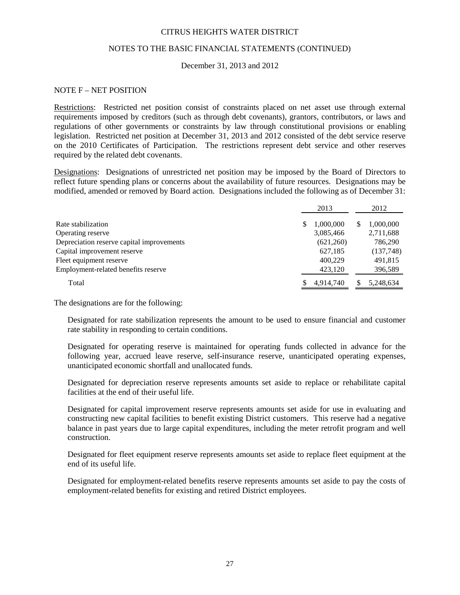#### NOTES TO THE BASIC FINANCIAL STATEMENTS (CONTINUED)

#### December 31, 2013 and 2012

#### NOTE F – NET POSITION

Restrictions: Restricted net position consist of constraints placed on net asset use through external requirements imposed by creditors (such as through debt covenants), grantors, contributors, or laws and regulations of other governments or constraints by law through constitutional provisions or enabling legislation. Restricted net position at December 31, 2013 and 2012 consisted of the debt service reserve on the 2010 Certificates of Participation. The restrictions represent debt service and other reserves required by the related debt covenants.

Designations: Designations of unrestricted net position may be imposed by the Board of Directors to reflect future spending plans or concerns about the availability of future resources. Designations may be modified, amended or removed by Board action. Designations included the following as of December 31:

|                                           |   | 2013      | 2012       |
|-------------------------------------------|---|-----------|------------|
| Rate stabilization                        | S | 1,000,000 | 1,000,000  |
| Operating reserve                         |   | 3,085,466 | 2,711,688  |
| Depreciation reserve capital improvements |   | (621,260) | 786.290    |
| Capital improvement reserve               |   | 627,185   | (137, 748) |
| Fleet equipment reserve                   |   | 400,229   | 491,815    |
| Employment-related benefits reserve       |   | 423,120   | 396,589    |
| Total                                     |   | 4,914,740 | 5,248,634  |

The designations are for the following:

Designated for rate stabilization represents the amount to be used to ensure financial and customer rate stability in responding to certain conditions.

Designated for operating reserve is maintained for operating funds collected in advance for the following year, accrued leave reserve, self-insurance reserve, unanticipated operating expenses, unanticipated economic shortfall and unallocated funds.

Designated for depreciation reserve represents amounts set aside to replace or rehabilitate capital facilities at the end of their useful life.

Designated for capital improvement reserve represents amounts set aside for use in evaluating and constructing new capital facilities to benefit existing District customers. This reserve had a negative balance in past years due to large capital expenditures, including the meter retrofit program and well construction.

Designated for fleet equipment reserve represents amounts set aside to replace fleet equipment at the end of its useful life.

Designated for employment-related benefits reserve represents amounts set aside to pay the costs of employment-related benefits for existing and retired District employees.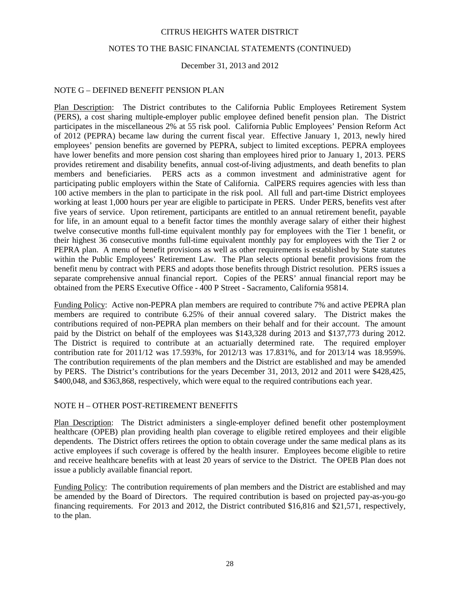#### NOTES TO THE BASIC FINANCIAL STATEMENTS (CONTINUED)

#### December 31, 2013 and 2012

#### NOTE G – DEFINED BENEFIT PENSION PLAN

Plan Description: The District contributes to the California Public Employees Retirement System (PERS), a cost sharing multiple-employer public employee defined benefit pension plan. The District participates in the miscellaneous 2% at 55 risk pool. California Public Employees' Pension Reform Act of 2012 (PEPRA) became law during the current fiscal year. Effective January 1, 2013, newly hired employees' pension benefits are governed by PEPRA, subject to limited exceptions. PEPRA employees have lower benefits and more pension cost sharing than employees hired prior to January 1, 2013. PERS provides retirement and disability benefits, annual cost-of-living adjustments, and death benefits to plan members and beneficiaries. PERS acts as a common investment and administrative agent for participating public employers within the State of California. CalPERS requires agencies with less than 100 active members in the plan to participate in the risk pool. All full and part-time District employees working at least 1,000 hours per year are eligible to participate in PERS. Under PERS, benefits vest after five years of service. Upon retirement, participants are entitled to an annual retirement benefit, payable for life, in an amount equal to a benefit factor times the monthly average salary of either their highest twelve consecutive months full-time equivalent monthly pay for employees with the Tier 1 benefit, or their highest 36 consecutive months full-time equivalent monthly pay for employees with the Tier 2 or PEPRA plan. A menu of benefit provisions as well as other requirements is established by State statutes within the Public Employees' Retirement Law. The Plan selects optional benefit provisions from the benefit menu by contract with PERS and adopts those benefits through District resolution. PERS issues a separate comprehensive annual financial report. Copies of the PERS' annual financial report may be obtained from the PERS Executive Office - 400 P Street - Sacramento, California 95814.

Funding Policy: Active non-PEPRA plan members are required to contribute 7% and active PEPRA plan members are required to contribute 6.25% of their annual covered salary. The District makes the contributions required of non-PEPRA plan members on their behalf and for their account. The amount paid by the District on behalf of the employees was \$143,328 during 2013 and \$137,773 during 2012. The District is required to contribute at an actuarially determined rate. The required employer contribution rate for 2011/12 was 17.593%, for 2012/13 was 17.831%, and for 2013/14 was 18.959%. The contribution requirements of the plan members and the District are established and may be amended by PERS. The District's contributions for the years December 31, 2013, 2012 and 2011 were \$428,425, \$400,048, and \$363,868, respectively, which were equal to the required contributions each year.

#### NOTE H – OTHER POST-RETIREMENT BENEFITS

Plan Description:The District administers a single-employer defined benefit other postemployment healthcare (OPEB) plan providing health plan coverage to eligible retired employees and their eligible dependents. The District offers retirees the option to obtain coverage under the same medical plans as its active employees if such coverage is offered by the health insurer. Employees become eligible to retire and receive healthcare benefits with at least 20 years of service to the District. The OPEB Plan does not issue a publicly available financial report.

Funding Policy: The contribution requirements of plan members and the District are established and may be amended by the Board of Directors. The required contribution is based on projected pay-as-you-go financing requirements. For 2013 and 2012, the District contributed \$16,816 and \$21,571, respectively, to the plan.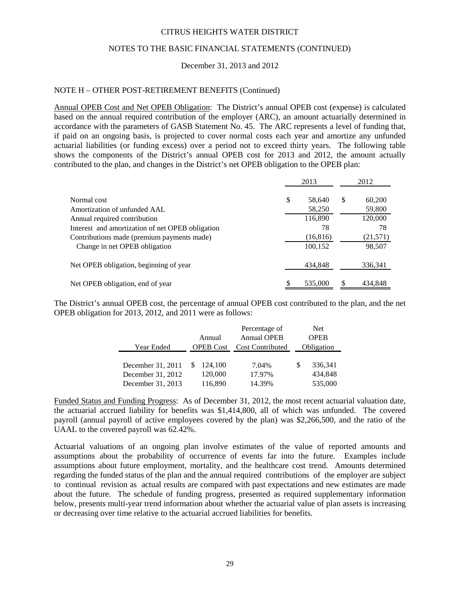#### NOTES TO THE BASIC FINANCIAL STATEMENTS (CONTINUED)

#### December 31, 2013 and 2012

#### NOTE H – OTHER POST-RETIREMENT BENEFITS (Continued)

Annual OPEB Cost and Net OPEB Obligation: The District's annual OPEB cost (expense) is calculated based on the annual required contribution of the employer (ARC), an amount actuarially determined in accordance with the parameters of GASB Statement No. 45.The ARC represents a level of funding that, if paid on an ongoing basis, is projected to cover normal costs each year and amortize any unfunded actuarial liabilities (or funding excess) over a period not to exceed thirty years. The following table shows the components of the District's annual OPEB cost for 2013 and 2012, the amount actually contributed to the plan, and changes in the District's net OPEB obligation to the OPEB plan:

|                                                  | 2013          | 2012         |
|--------------------------------------------------|---------------|--------------|
| Normal cost                                      | \$<br>58,640  | \$<br>60,200 |
| Amortization of unfunded AAL                     | 58,250        | 59,800       |
| Annual required contribution                     | 116,890       | 120,000      |
| Interest and amortization of net OPEB obligation | 78            | 78           |
| Contributions made (premium payments made)       | (16, 816)     | (21,571)     |
| Change in net OPEB obligation                    | 100,152       | 98,507       |
| Net OPEB obligation, beginning of year           | 434,848       | 336,341      |
| Net OPEB obligation, end of year                 | \$<br>535,000 | 434,848      |

The District's annual OPEB cost, the percentage of annual OPEB cost contributed to the plan, and the net OPEB obligation for 2013, 2012, and 2011 were as follows:

|                   | Annual           |         | Percentage of<br><b>Annual OPEB</b> | Net.<br><b>OPEB</b> |         |  |
|-------------------|------------------|---------|-------------------------------------|---------------------|---------|--|
| Year Ended        | <b>OPEB Cost</b> |         | <b>Cost Contributed</b>             | Obligation          |         |  |
| December 31, 2011 |                  | 124,100 | 7.04%                               | S                   | 336,341 |  |
| December 31, 2012 |                  | 120,000 | 17.97%                              |                     | 434.848 |  |
| December 31, 2013 |                  | 116,890 | 14.39%                              |                     | 535,000 |  |

Funded Status and Funding Progress: As of December 31, 2012, the most recent actuarial valuation date, the actuarial accrued liability for benefits was \$1,414,800, all of which was unfunded. The covered payroll (annual payroll of active employees covered by the plan) was \$2,266,500, and the ratio of the UAAL to the covered payroll was 62.42%.

Actuarial valuations of an ongoing plan involve estimates of the value of reported amounts and assumptions about the probability of occurrence of events far into the future. Examples include assumptions about future employment, mortality, and the healthcare cost trend. Amounts determined regarding the funded status of the plan and the annual required contributions of the employer are subject to continual revision as actual results are compared with past expectations and new estimates are made about the future. The schedule of funding progress, presented as required supplementary information below, presents multi-year trend information about whether the actuarial value of plan assets is increasing or decreasing over time relative to the actuarial accrued liabilities for benefits.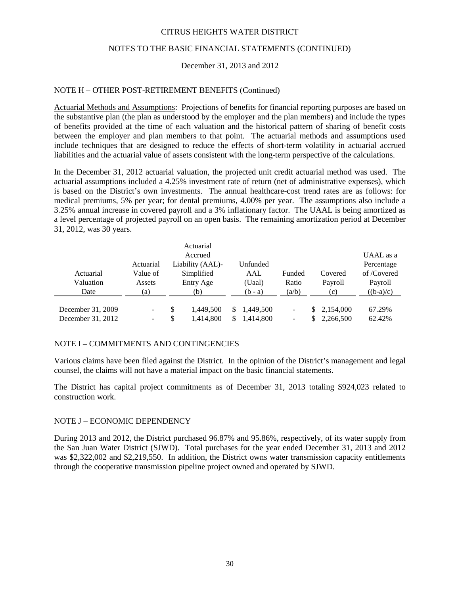#### NOTES TO THE BASIC FINANCIAL STATEMENTS (CONTINUED)

#### December 31, 2013 and 2012

#### NOTE H – OTHER POST-RETIREMENT BENEFITS (Continued)

Actuarial Methods and Assumptions: Projections of benefits for financial reporting purposes are based on the substantive plan (the plan as understood by the employer and the plan members) and include the types of benefits provided at the time of each valuation and the historical pattern of sharing of benefit costs between the employer and plan members to that point. The actuarial methods and assumptions used include techniques that are designed to reduce the effects of short-term volatility in actuarial accrued liabilities and the actuarial value of assets consistent with the long-term perspective of the calculations.

In the December 31, 2012 actuarial valuation, the projected unit credit actuarial method was used. The actuarial assumptions included a 4.25% investment rate of return (net of administrative expenses), which is based on the District's own investments. The annual healthcare-cost trend rates are as follows: for medical premiums, 5% per year; for dental premiums, 4.00% per year. The assumptions also include a 3.25% annual increase in covered payroll and a 3% inflationary factor. The UAAL is being amortized as a level percentage of projected payroll on an open basis. The remaining amortization period at December 31, 2012, was 30 years.

|                   |           |    | Actuarial<br>Accrued |     |           |                          |    |             | UAAL as a   |
|-------------------|-----------|----|----------------------|-----|-----------|--------------------------|----|-------------|-------------|
|                   | Actuarial |    | Liability (AAL)-     |     | Unfunded  |                          |    |             | Percentage  |
| Actuarial         | Value of  |    | Simplified           |     | AAL       | Funded                   |    | Covered     | of /Covered |
| Valuation         | Assets    |    | Entry Age            |     | (Uaal)    | Ratio                    |    | Payroll     | Payroll     |
| Date              | (a)       |    | (b)                  |     | $(b - a)$ | (a/b)                    |    | (c)         | $((b-a)/c)$ |
| December 31, 2009 | Ξ.        | S  | 1.449.500            | \$. | 1.449.500 | $\overline{\phantom{a}}$ |    | \$2.154,000 | 67.29%      |
| December 31, 2012 | Ξ.        | \$ | 1,414,800            | \$  | 1,414,800 | $\overline{\phantom{a}}$ | S. | 2,266,500   | 62.42%      |

#### NOTE I – COMMITMENTS AND CONTINGENCIES

Various claims have been filed against the District. In the opinion of the District's management and legal counsel, the claims will not have a material impact on the basic financial statements.

The District has capital project commitments as of December 31, 2013 totaling \$924,023 related to construction work.

#### NOTE J – ECONOMIC DEPENDENCY

During 2013 and 2012, the District purchased 96.87% and 95.86%, respectively, of its water supply from the San Juan Water District (SJWD). Total purchases for the year ended December 31, 2013 and 2012 was \$2,322,002 and \$2,219,550. In addition, the District owns water transmission capacity entitlements through the cooperative transmission pipeline project owned and operated by SJWD.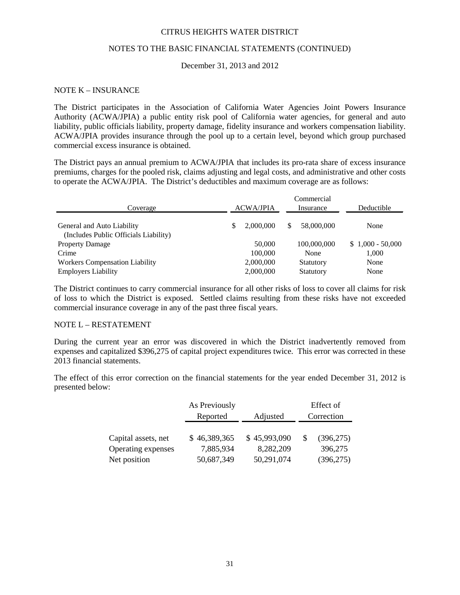#### NOTES TO THE BASIC FINANCIAL STATEMENTS (CONTINUED)

#### December 31, 2013 and 2012

#### NOTE K – INSURANCE

The District participates in the Association of California Water Agencies Joint Powers Insurance Authority (ACWA/JPIA) a public entity risk pool of California water agencies, for general and auto liability, public officials liability, property damage, fidelity insurance and workers compensation liability. ACWA/JPIA provides insurance through the pool up to a certain level, beyond which group purchased commercial excess insurance is obtained.

The District pays an annual premium to ACWA/JPIA that includes its pro-rata share of excess insurance premiums, charges for the pooled risk, claims adjusting and legal costs, and administrative and other costs to operate the ACWA/JPIA. The District's deductibles and maximum coverage are as follows:

|                                                                     | Commercial       |                 |                   |  |  |  |
|---------------------------------------------------------------------|------------------|-----------------|-------------------|--|--|--|
| Coverage                                                            | <b>ACWA/JPIA</b> | Insurance       | Deductible        |  |  |  |
| General and Auto Liability<br>(Includes Public Officials Liability) | 2,000,000        | S<br>58,000,000 | None              |  |  |  |
| <b>Property Damage</b>                                              | 50,000           | 100,000,000     | $$1,000 - 50,000$ |  |  |  |
| Crime                                                               | 100,000          | None            | 1,000             |  |  |  |
| <b>Workers Compensation Liability</b>                               | 2,000,000        | Statutory       | None              |  |  |  |
| <b>Employers Liability</b>                                          | 2,000,000        | Statutory       | None              |  |  |  |

The District continues to carry commercial insurance for all other risks of loss to cover all claims for risk of loss to which the District is exposed. Settled claims resulting from these risks have not exceeded commercial insurance coverage in any of the past three fiscal years.

#### NOTE L – RESTATEMENT

During the current year an error was discovered in which the District inadvertently removed from expenses and capitalized \$396,275 of capital project expenditures twice. This error was corrected in these 2013 financial statements.

The effect of this error correction on the financial statements for the year ended December 31, 2012 is presented below:

|                     | As Previously |              |            | Effect of  |  |  |
|---------------------|---------------|--------------|------------|------------|--|--|
|                     | Reported      | Adjusted     | Correction |            |  |  |
|                     |               |              |            |            |  |  |
| Capital assets, net | \$46,389,365  | \$45,993,090 |            | (396, 275) |  |  |
| Operating expenses  | 7,885,934     | 8,282,209    |            | 396,275    |  |  |
| Net position        | 50,687,349    | 50,291,074   |            | (396, 275) |  |  |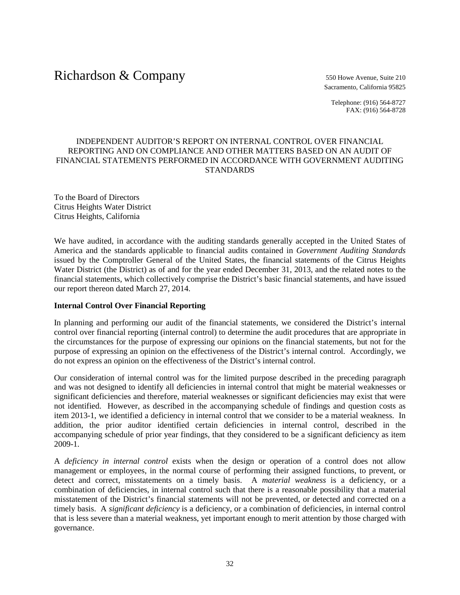# Richardson & Company 550 Howe Avenue, Suite 210

Sacramento, California 95825

Telephone: (916) 564-8727 FAX: (916) 564-8728

#### INDEPENDENT AUDITOR'S REPORT ON INTERNAL CONTROL OVER FINANCIAL REPORTING AND ON COMPLIANCE AND OTHER MATTERS BASED ON AN AUDIT OF FINANCIAL STATEMENTS PERFORMED IN ACCORDANCE WITH GOVERNMENT AUDITING STANDARDS

To the Board of Directors Citrus Heights Water District Citrus Heights, California

We have audited, in accordance with the auditing standards generally accepted in the United States of America and the standards applicable to financial audits contained in *Government Auditing Standards* issued by the Comptroller General of the United States, the financial statements of the Citrus Heights Water District (the District) as of and for the year ended December 31, 2013, and the related notes to the financial statements, which collectively comprise the District's basic financial statements, and have issued our report thereon dated March 27, 2014.

#### **Internal Control Over Financial Reporting**

In planning and performing our audit of the financial statements, we considered the District's internal control over financial reporting (internal control) to determine the audit procedures that are appropriate in the circumstances for the purpose of expressing our opinions on the financial statements, but not for the purpose of expressing an opinion on the effectiveness of the District's internal control. Accordingly, we do not express an opinion on the effectiveness of the District's internal control.

Our consideration of internal control was for the limited purpose described in the preceding paragraph and was not designed to identify all deficiencies in internal control that might be material weaknesses or significant deficiencies and therefore, material weaknesses or significant deficiencies may exist that were not identified. However, as described in the accompanying schedule of findings and question costs as item 2013-1, we identified a deficiency in internal control that we consider to be a material weakness. In addition, the prior auditor identified certain deficiencies in internal control, described in the accompanying schedule of prior year findings, that they considered to be a significant deficiency as item 2009-1.

A *deficiency in internal control* exists when the design or operation of a control does not allow management or employees, in the normal course of performing their assigned functions, to prevent, or detect and correct, misstatements on a timely basis. A *material weakness* is a deficiency, or a combination of deficiencies, in internal control such that there is a reasonable possibility that a material misstatement of the District's financial statements will not be prevented, or detected and corrected on a timely basis. A *significant deficiency* is a deficiency, or a combination of deficiencies, in internal control that is less severe than a material weakness, yet important enough to merit attention by those charged with governance.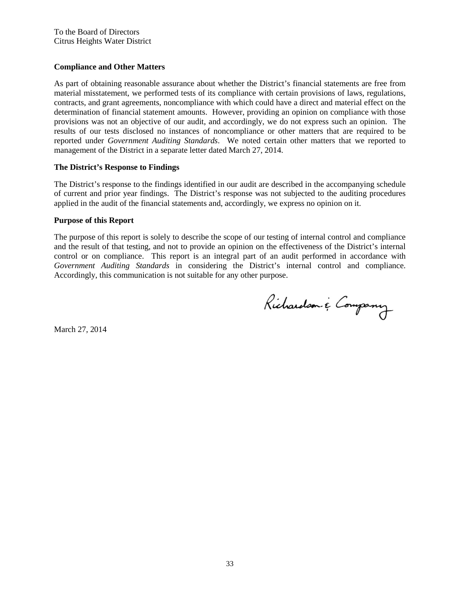#### **Compliance and Other Matters**

As part of obtaining reasonable assurance about whether the District's financial statements are free from material misstatement, we performed tests of its compliance with certain provisions of laws, regulations, contracts, and grant agreements, noncompliance with which could have a direct and material effect on the determination of financial statement amounts. However, providing an opinion on compliance with those provisions was not an objective of our audit, and accordingly, we do not express such an opinion. The results of our tests disclosed no instances of noncompliance or other matters that are required to be reported under *Government Auditing Standards*. We noted certain other matters that we reported to management of the District in a separate letter dated March 27, 2014.

#### **The District's Response to Findings**

The District's response to the findings identified in our audit are described in the accompanying schedule of current and prior year findings. The District's response was not subjected to the auditing procedures applied in the audit of the financial statements and, accordingly, we express no opinion on it.

#### **Purpose of this Report**

The purpose of this report is solely to describe the scope of our testing of internal control and compliance and the result of that testing, and not to provide an opinion on the effectiveness of the District's internal control or on compliance. This report is an integral part of an audit performed in accordance with *Government Auditing Standards* in considering the District's internal control and compliance. Accordingly, this communication is not suitable for any other purpose.

Richardson & Company

March 27, 2014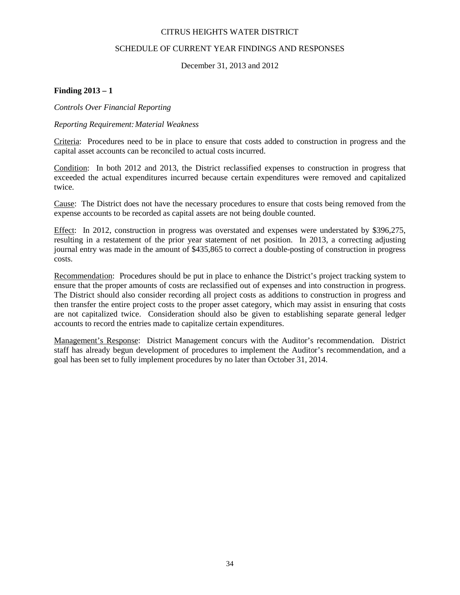#### SCHEDULE OF CURRENT YEAR FINDINGS AND RESPONSES

December 31, 2013 and 2012

#### **Finding 2013 – 1**

*Controls Over Financial Reporting*

#### *Reporting Requirement:Material Weakness*

Criteria: Procedures need to be in place to ensure that costs added to construction in progress and the capital asset accounts can be reconciled to actual costs incurred.

Condition: In both 2012 and 2013, the District reclassified expenses to construction in progress that exceeded the actual expenditures incurred because certain expenditures were removed and capitalized twice.

Cause: The District does not have the necessary procedures to ensure that costs being removed from the expense accounts to be recorded as capital assets are not being double counted.

Effect: In 2012, construction in progress was overstated and expenses were understated by \$396,275, resulting in a restatement of the prior year statement of net position. In 2013, a correcting adjusting journal entry was made in the amount of \$435,865 to correct a double-posting of construction in progress costs.

Recommendation: Procedures should be put in place to enhance the District's project tracking system to ensure that the proper amounts of costs are reclassified out of expenses and into construction in progress. The District should also consider recording all project costs as additions to construction in progress and then transfer the entire project costs to the proper asset category, which may assist in ensuring that costs are not capitalized twice. Consideration should also be given to establishing separate general ledger accounts to record the entries made to capitalize certain expenditures.

Management's Response: District Management concurs with the Auditor's recommendation. District staff has already begun development of procedures to implement the Auditor's recommendation, and a goal has been set to fully implement procedures by no later than October 31, 2014.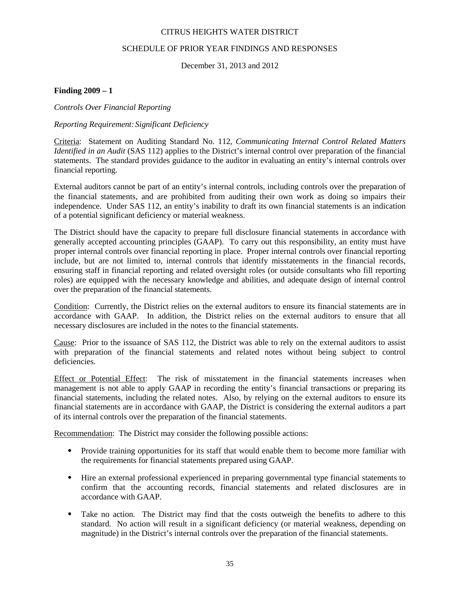#### SCHEDULE OF PRIOR YEAR FINDINGS AND RESPONSES

December 31, 2013 and 2012

#### **Finding 2009 – 1**

*Controls Over Financial Reporting*

#### *Reporting Requirement:Significant Deficiency*

Criteria: Statement on Auditing Standard No. 112, *Communicating Internal Control Related Matters Identified in an Audit* (SAS 112) applies to the District's internal control over preparation of the financial statements. The standard provides guidance to the auditor in evaluating an entity's internal controls over financial reporting.

External auditors cannot be part of an entity's internal controls, including controls over the preparation of the financial statements, and are prohibited from auditing their own work as doing so impairs their independence. Under SAS 112, an entity's inability to draft its own financial statements is an indication of a potential significant deficiency or material weakness.

The District should have the capacity to prepare full disclosure financial statements in accordance with generally accepted accounting principles (GAAP). To carry out this responsibility, an entity must have proper internal controls over financial reporting in place. Proper internal controls over financial reporting include, but are not limited to, internal controls that identify misstatements in the financial records, ensuring staff in financial reporting and related oversight roles (or outside consultants who fill reporting roles) are equipped with the necessary knowledge and abilities, and adequate design of internal control over the preparation of the financial statements.

Condition: Currently, the District relies on the external auditors to ensure its financial statements are in accordance with GAAP. In addition, the District relies on the external auditors to ensure that all necessary disclosures are included in the notes to the financial statements.

Cause: Prior to the issuance of SAS 112, the District was able to rely on the external auditors to assist with preparation of the financial statements and related notes without being subject to control deficiencies.

Effect or Potential Effect: The risk of misstatement in the financial statements increases when management is not able to apply GAAP in recording the entity's financial transactions or preparing its financial statements, including the related notes. Also, by relying on the external auditors to ensure its financial statements are in accordance with GAAP, the District is considering the external auditors a part of its internal controls over the preparation of the financial statements.

Recommendation: The District may consider the following possible actions:

- Provide training opportunities for its staff that would enable them to become more familiar with the requirements for financial statements prepared using GAAP.
- Hire an external professional experienced in preparing governmental type financial statements to confirm that the accounting records, financial statements and related disclosures are in accordance with GAAP.
- Take no action. The District may find that the costs outweigh the benefits to adhere to this standard. No action will result in a significant deficiency (or material weakness, depending on magnitude) in the District's internal controls over the preparation of the financial statements.